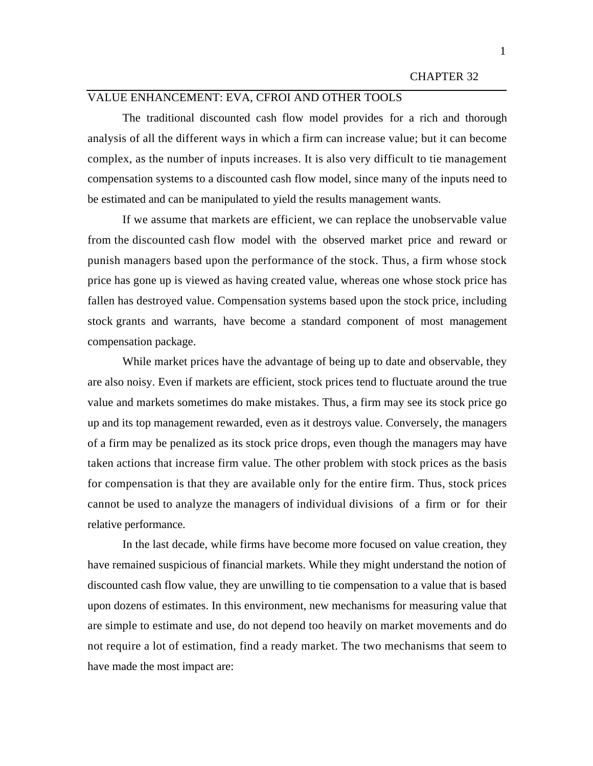# VALUE ENHANCEMENT: EVA, CFROI AND OTHER TOOLS

The traditional discounted cash flow model provides for a rich and thorough analysis of all the different ways in which a firm can increase value; but it can become complex, as the number of inputs increases. It is also very difficult to tie management compensation systems to a discounted cash flow model, since many of the inputs need to be estimated and can be manipulated to yield the results management wants.

If we assume that markets are efficient, we can replace the unobservable value from the discounted cash flow model with the observed market price and reward or punish managers based upon the performance of the stock. Thus, a firm whose stock price has gone up is viewed as having created value, whereas one whose stock price has fallen has destroyed value. Compensation systems based upon the stock price, including stock grants and warrants, have become a standard component of most management compensation package.

While market prices have the advantage of being up to date and observable, they are also noisy. Even if markets are efficient, stock prices tend to fluctuate around the true value and markets sometimes do make mistakes. Thus, a firm may see its stock price go up and its top management rewarded, even as it destroys value. Conversely, the managers of a firm may be penalized as its stock price drops, even though the managers may have taken actions that increase firm value. The other problem with stock prices as the basis for compensation is that they are available only for the entire firm. Thus, stock prices cannot be used to analyze the managers of individual divisions of a firm or for their relative performance.

In the last decade, while firms have become more focused on value creation, they have remained suspicious of financial markets. While they might understand the notion of discounted cash flow value, they are unwilling to tie compensation to a value that is based upon dozens of estimates. In this environment, new mechanisms for measuring value that are simple to estimate and use, do not depend too heavily on market movements and do not require a lot of estimation, find a ready market. The two mechanisms that seem to have made the most impact are: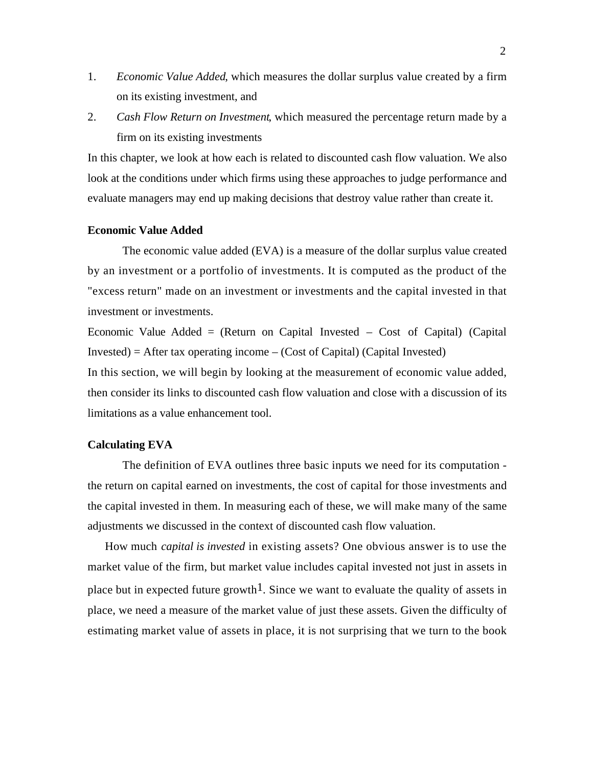- 1. *Economic Value Added*, which measures the dollar surplus value created by a firm on its existing investment, and
- 2. *Cash Flow Return on Investment*, which measured the percentage return made by a firm on its existing investments

In this chapter, we look at how each is related to discounted cash flow valuation. We also look at the conditions under which firms using these approaches to judge performance and evaluate managers may end up making decisions that destroy value rather than create it.

## **Economic Value Added**

The economic value added (EVA) is a measure of the dollar surplus value created by an investment or a portfolio of investments. It is computed as the product of the "excess return" made on an investment or investments and the capital invested in that investment or investments.

Economic Value Added = (Return on Capital Invested  $-$  Cost of Capital) (Capital Invested) = After tax operating income  $-$  (Cost of Capital) (Capital Invested) In this section, we will begin by looking at the measurement of economic value added, then consider its links to discounted cash flow valuation and close with a discussion of its limitations as a value enhancement tool.

#### **Calculating EVA**

The definition of EVA outlines three basic inputs we need for its computation the return on capital earned on investments, the cost of capital for those investments and the capital invested in them. In measuring each of these, we will make many of the same adjustments we discussed in the context of discounted cash flow valuation.

How much *capital is invested* in existing assets? One obvious answer is to use the market value of the firm, but market value includes capital invested not just in assets in place but in expected future growth<sup>1</sup>. Since we want to evaluate the quality of assets in place, we need a measure of the market value of just these assets. Given the difficulty of estimating market value of assets in place, it is not surprising that we turn to the book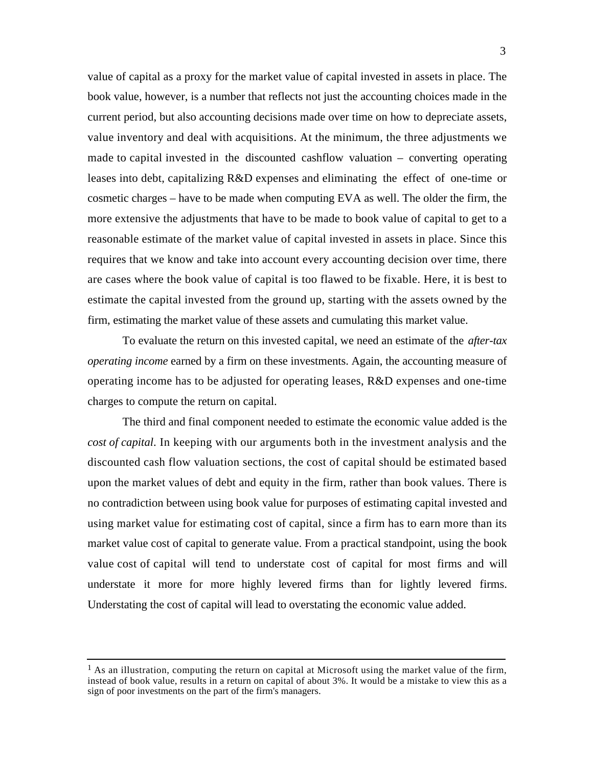value of capital as a proxy for the market value of capital invested in assets in place. The book value, however, is a number that reflects not just the accounting choices made in the current period, but also accounting decisions made over time on how to depreciate assets, value inventory and deal with acquisitions. At the minimum, the three adjustments we made to capital invested in the discounted cashflow valuation – converting operating leases into debt, capitalizing R&D expenses and eliminating the effect of one-time or cosmetic charges – have to be made when computing EVA as well. The older the firm, the more extensive the adjustments that have to be made to book value of capital to get to a reasonable estimate of the market value of capital invested in assets in place. Since this requires that we know and take into account every accounting decision over time, there are cases where the book value of capital is too flawed to be fixable. Here, it is best to estimate the capital invested from the ground up, starting with the assets owned by the firm, estimating the market value of these assets and cumulating this market value.

To evaluate the return on this invested capital, we need an estimate of the *after-tax operating income* earned by a firm on these investments. Again, the accounting measure of operating income has to be adjusted for operating leases, R&D expenses and one-time charges to compute the return on capital.

The third and final component needed to estimate the economic value added is the *cost of capital*. In keeping with our arguments both in the investment analysis and the discounted cash flow valuation sections, the cost of capital should be estimated based upon the market values of debt and equity in the firm, rather than book values. There is no contradiction between using book value for purposes of estimating capital invested and using market value for estimating cost of capital, since a firm has to earn more than its market value cost of capital to generate value. From a practical standpoint, using the book value cost of capital will tend to understate cost of capital for most firms and will understate it more for more highly levered firms than for lightly levered firms. Understating the cost of capital will lead to overstating the economic value added.

l

 $<sup>1</sup>$  As an illustration, computing the return on capital at Microsoft using the market value of the firm,</sup> instead of book value, results in a return on capital of about 3%. It would be a mistake to view this as a sign of poor investments on the part of the firm's managers.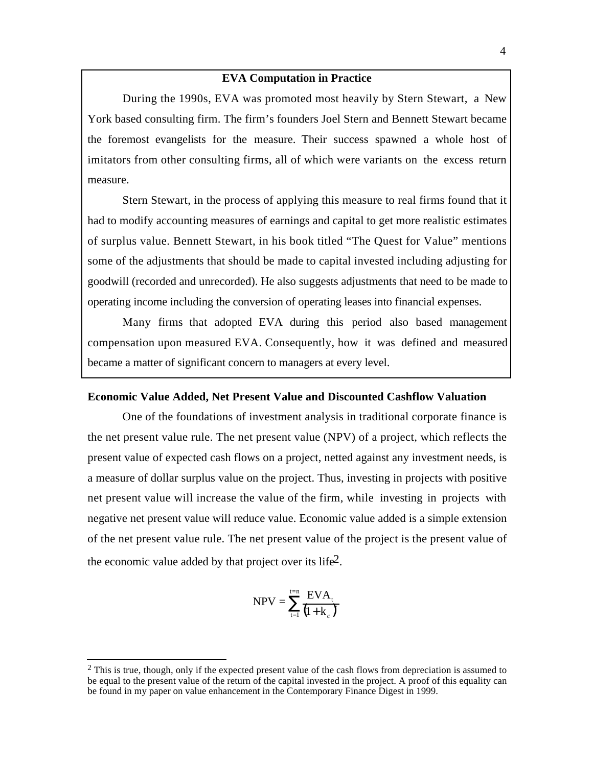## **EVA Computation in Practice**

During the 1990s, EVA was promoted most heavily by Stern Stewart, a New York based consulting firm. The firm's founders Joel Stern and Bennett Stewart became the foremost evangelists for the measure. Their success spawned a whole host of imitators from other consulting firms, all of which were variants on the excess return measure.

Stern Stewart, in the process of applying this measure to real firms found that it had to modify accounting measures of earnings and capital to get more realistic estimates of surplus value. Bennett Stewart, in his book titled "The Quest for Value" mentions some of the adjustments that should be made to capital invested including adjusting for goodwill (recorded and unrecorded). He also suggests adjustments that need to be made to operating income including the conversion of operating leases into financial expenses.

Many firms that adopted EVA during this period also based management compensation upon measured EVA. Consequently, how it was defined and measured became a matter of significant concern to managers at every level.

#### **Economic Value Added, Net Present Value and Discounted Cashflow Valuation**

One of the foundations of investment analysis in traditional corporate finance is the net present value rule. The net present value (NPV) of a project, which reflects the present value of expected cash flows on a project, netted against any investment needs, is a measure of dollar surplus value on the project. Thus, investing in projects with positive net present value will increase the value of the firm, while investing in projects with negative net present value will reduce value. Economic value added is a simple extension of the net present value rule. The net present value of the project is the present value of the economic value added by that project over its life<sup>2</sup>.

$$
NPV = \frac{EVA_t}{t=1} \frac{EVA_t}{(1 + k_c)}
$$

l

<sup>&</sup>lt;sup>2</sup> This is true, though, only if the expected present value of the cash flows from depreciation is assumed to be equal to the present value of the return of the capital invested in the project. A proof of this equality can be found in my paper on value enhancement in the Contemporary Finance Digest in 1999.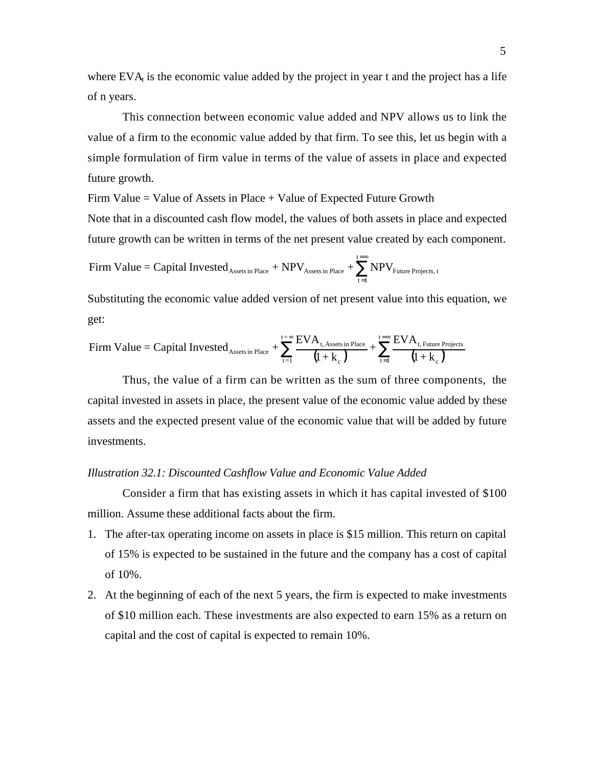where  $EVA<sub>t</sub>$  is the economic value added by the project in year t and the project has a life of n years.

This connection between economic value added and NPV allows us to link the value of a firm to the economic value added by that firm. To see this, let us begin with a simple formulation of firm value in terms of the value of assets in place and expected future growth.

Firm Value  $=$  Value of Assets in Place  $+$  Value of Expected Future Growth

Note that in a discounted cash flow model, the values of both assets in place and expected future growth can be written in terms of the net present value created by each component.

$$
Firm\ Value = Capital\ Investment_{Assets\ in\ Place} + NPV_{Assets\ in\ Place} + \left.\!\! \begin{array}{c} \quad \ \ \text{NPV}_{\text{Future Projects, }t} \end{array}\!\!\right.
$$

Substituting the economic value added version of net present value into this equation, we get:

$$
\text{Firm Value} = \text{Capital Investigating} + \sum_{t=1}^{t=} \frac{EVA_{t, \text{Assets in Place}}}{(l+k_c)} + \sum_{t=1}^{t=} \frac{EVA_{t, \text{Future Projects}}}{(l+k_c)}
$$

Thus, the value of a firm can be written as the sum of three components, the capital invested in assets in place, the present value of the economic value added by these assets and the expected present value of the economic value that will be added by future investments.

# *Illustration 32.1: Discounted Cashflow Value and Economic Value Added*

Consider a firm that has existing assets in which it has capital invested of \$100 million. Assume these additional facts about the firm.

- 1. The after-tax operating income on assets in place is \$15 million. This return on capital of 15% is expected to be sustained in the future and the company has a cost of capital of 10%.
- 2. At the beginning of each of the next 5 years, the firm is expected to make investments of \$10 million each. These investments are also expected to earn 15% as a return on capital and the cost of capital is expected to remain 10%.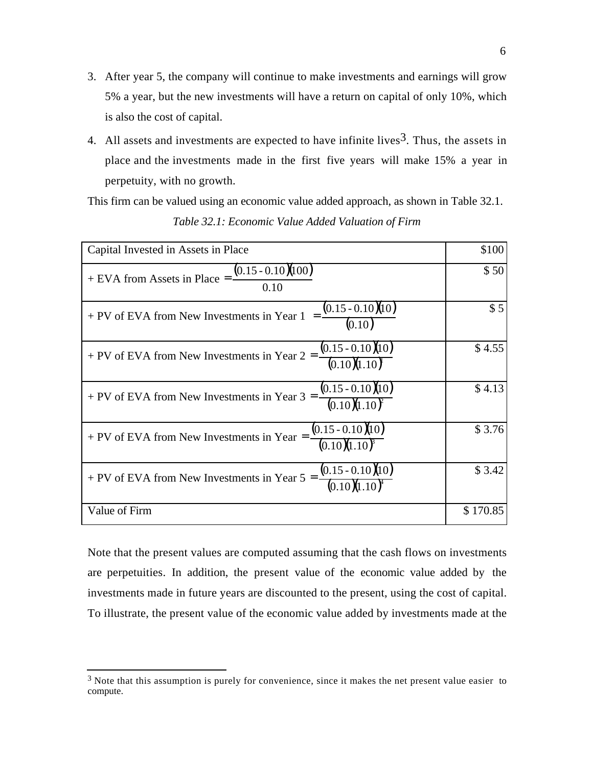- 3. After year 5, the company will continue to make investments and earnings will grow 5% a year, but the new investments will have a return on capital of only 10%, which is also the cost of capital.
- 4. All assets and investments are expected to have infinite lives<sup>3</sup>. Thus, the assets in place and the investments made in the first five years will make 15% a year in perpetuity, with no growth.

This firm can be valued using an economic value added approach, as shown in Table 32.1. *Table 32.1: Economic Value Added Valuation of Firm*

| Capital Invested in Assets in Place                                                          | \$100    |  |
|----------------------------------------------------------------------------------------------|----------|--|
| + EVA from Assets in Place = $\frac{(0.15 - 0.10)(100)}{0}$<br>$\overline{0.10}$             | \$50     |  |
| $(0.15 - 0.10)(10)$<br>+ PV of EVA from New Investments in Year 1<br>(0.10)                  | \$5      |  |
| $(0.15 - 0.10)(10)$<br>$+$ PV of EVA from New Investments in Year 2 =                        | \$4.55   |  |
| $\frac{(0.15 - 0.10)(10)}{(0.10)(1.10)^2}$<br>+ PV of EVA from New Investments in Year $3 =$ | \$4.13   |  |
| $(0.15 - 0.10)(10)$<br>+ PV of EVA from New Investments in Year $=$                          | \$3.76   |  |
| $(0.15 - 0.10)(10)$<br>$+$ PV of EVA from New Investments in Year 5 =                        | \$3.42   |  |
| Value of Firm                                                                                | \$170.85 |  |

Note that the present values are computed assuming that the cash flows on investments are perpetuities. In addition, the present value of the economic value added by the investments made in future years are discounted to the present, using the cost of capital. To illustrate, the present value of the economic value added by investments made at the

l

<sup>&</sup>lt;sup>3</sup> Note that this assumption is purely for convenience, since it makes the net present value easier to compute.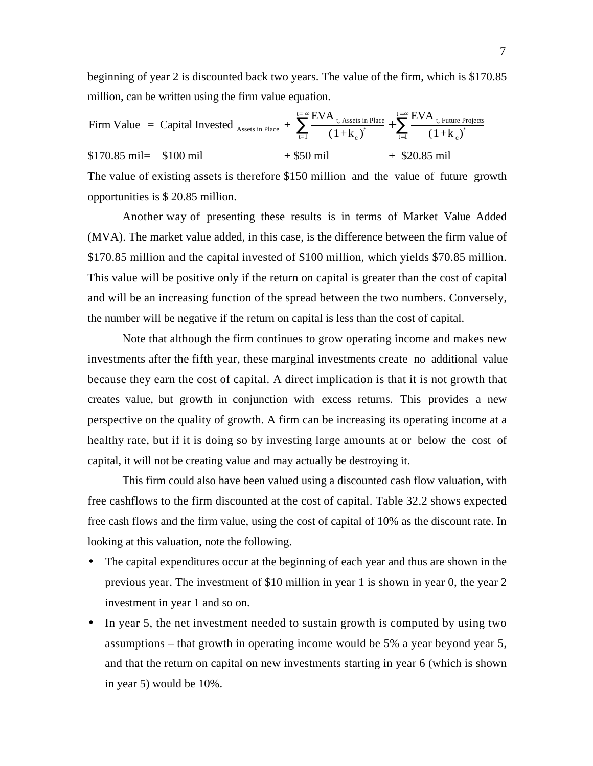beginning of year 2 is discounted back two years. The value of the firm, which is \$170.85 million, can be written using the firm value equation.

Firm Value  $=$  Capital Invested  $_{\text{Assets in Place}}$  +  $\rm EVA$  t, Assets in Place  $_{t=1}$   $(1+k_c)^t$  $t=$  $+\int_{0}^{t}$  EVA t, Future Projects  $_{t=1}$   $(1+k_c)^t$  $t =$  $$170.85 \text{ mil} = $100 \text{ mil} + $50 \text{ mil} + $20.85 \text{ mil}$ The value of existing assets is therefore \$150 million and the value of future growth

opportunities is \$ 20.85 million.

Another way of presenting these results is in terms of Market Value Added (MVA). The market value added, in this case, is the difference between the firm value of \$170.85 million and the capital invested of \$100 million, which yields \$70.85 million. This value will be positive only if the return on capital is greater than the cost of capital and will be an increasing function of the spread between the two numbers. Conversely, the number will be negative if the return on capital is less than the cost of capital.

Note that although the firm continues to grow operating income and makes new investments after the fifth year, these marginal investments create no additional value because they earn the cost of capital. A direct implication is that it is not growth that creates value, but growth in conjunction with excess returns. This provides a new perspective on the quality of growth. A firm can be increasing its operating income at a healthy rate, but if it is doing so by investing large amounts at or below the cost of capital, it will not be creating value and may actually be destroying it.

This firm could also have been valued using a discounted cash flow valuation, with free cashflows to the firm discounted at the cost of capital. Table 32.2 shows expected free cash flows and the firm value, using the cost of capital of 10% as the discount rate. In looking at this valuation, note the following.

- The capital expenditures occur at the beginning of each year and thus are shown in the previous year. The investment of \$10 million in year 1 is shown in year 0, the year 2 investment in year 1 and so on.
- In year 5, the net investment needed to sustain growth is computed by using two assumptions – that growth in operating income would be 5% a year beyond year 5, and that the return on capital on new investments starting in year 6 (which is shown in year 5) would be 10%.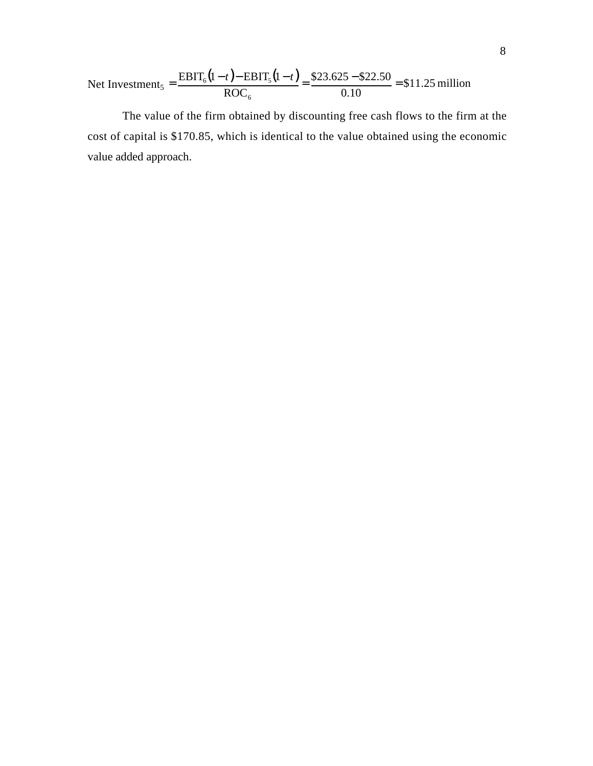Net Investment<sub>5</sub> = 
$$
\frac{\text{EBIT}_6(1-t) - \text{EBIT}_5(1-t)}{\text{ROC}_6} = \frac{\$23.625 - \$22.50}{0.10} = \$11.25 \text{ million}
$$

The value of the firm obtained by discounting free cash flows to the firm at the cost of capital is \$170.85, which is identical to the value obtained using the economic value added approach.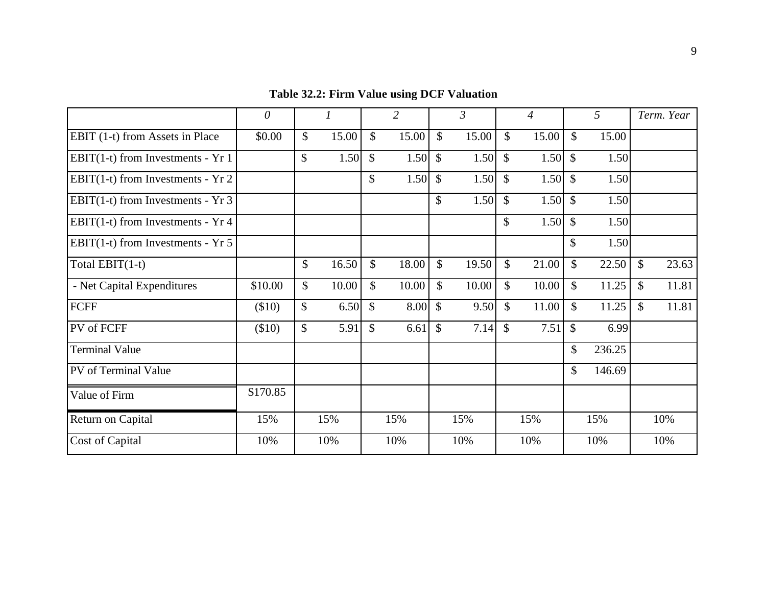|                                     | $\theta$ |               | 1     |               | $\overline{2}$ |               | $\overline{3}$ |               | $\overline{4}$ |               | 5      |               | Term. Year |
|-------------------------------------|----------|---------------|-------|---------------|----------------|---------------|----------------|---------------|----------------|---------------|--------|---------------|------------|
| EBIT (1-t) from Assets in Place     | \$0.00   | \$            | 15.00 | \$            | 15.00          | $\mathcal{S}$ | 15.00          | $\mathsf{\$}$ | 15.00          | $\mathcal{S}$ | 15.00  |               |            |
| EBIT(1-t) from Investments - $Yr1$  |          | \$            | 1.50  | $\mathcal{S}$ | 1.50           | $\mathcal{S}$ | 1.50           | $\mathcal{S}$ | 1.50           | $\mathcal{S}$ | 1.50   |               |            |
| EBIT(1-t) from Investments - $Yr$ 2 |          |               |       | \$            | 1.50           | $\mathcal{S}$ | 1.50           | $\mathcal{S}$ | 1.50           | $\mathcal{S}$ | 1.50   |               |            |
| EBIT(1-t) from Investments - $Yr$ 3 |          |               |       |               |                | $\mathbb{S}$  | 1.50           | \$            | 1.50           | $\mathcal{S}$ | 1.50   |               |            |
| EBIT(1-t) from Investments - $Yr$ 4 |          |               |       |               |                |               |                | \$            | 1.50           | $\mathcal{S}$ | 1.50   |               |            |
| EBIT(1-t) from Investments - $Yr$ 5 |          |               |       |               |                |               |                |               |                | $\mathcal{S}$ | 1.50   |               |            |
| Total $EBIT(1-t)$                   |          | \$            | 16.50 | $\mathsf{\$}$ | 18.00          | $\mathcal{S}$ | 19.50          | \$            | 21.00          | \$            | 22.50  | \$            | 23.63      |
| - Net Capital Expenditures          | \$10.00  | \$            | 10.00 | $\mathcal{S}$ | 10.00          | $\mathcal{S}$ | 10.00          | \$            | 10.00          | $\mathcal{S}$ | 11.25  | $\mathcal{S}$ | 11.81      |
| <b>FCFF</b>                         | \$10)    | $\mathcal{S}$ | 6.50  | $\mathcal{S}$ | 8.00           | $\mathcal{S}$ | 9.50           | $\mathbb{S}$  | 11.00          | \$            | 11.25  | $\mathbb{S}$  | 11.81      |
| PV of FCFF                          | \$10)    | \$            | 5.91  | \$            | 6.61           | $\mathcal{S}$ | 7.14           | \$            | 7.51           | \$            | 6.99   |               |            |
| <b>Terminal Value</b>               |          |               |       |               |                |               |                |               |                | \$            | 236.25 |               |            |
| PV of Terminal Value                |          |               |       |               |                |               |                |               |                | \$            | 146.69 |               |            |
| Value of Firm                       | \$170.85 |               |       |               |                |               |                |               |                |               |        |               |            |
| Return on Capital                   | 15%      |               | 15%   |               | 15%            |               | 15%            |               | 15%            |               | 15%    |               | 10%        |
| Cost of Capital                     | 10%      |               | 10%   |               | 10%            |               | 10%            |               | 10%            |               | 10%    |               | 10%        |

**Table 32.2: Firm Value using DCF Valuation**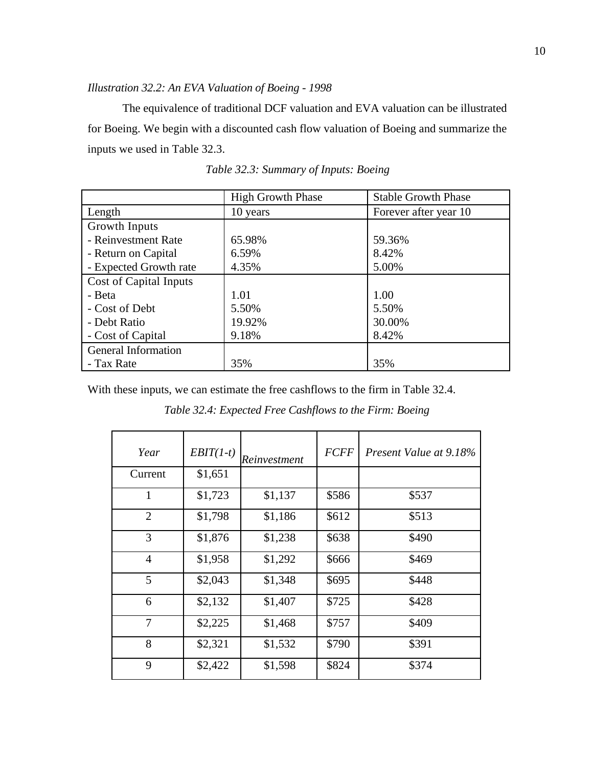# *Illustration 32.2: An EVA Valuation of Boeing - 1998*

The equivalence of traditional DCF valuation and EVA valuation can be illustrated for Boeing. We begin with a discounted cash flow valuation of Boeing and summarize the inputs we used in Table 32.3.

|                               | <b>High Growth Phase</b> | <b>Stable Growth Phase</b> |
|-------------------------------|--------------------------|----------------------------|
| Length                        | 10 years                 | Forever after year 10      |
| Growth Inputs                 |                          |                            |
| - Reinvestment Rate           | 65.98%                   | 59.36%                     |
| - Return on Capital           | 6.59%                    | 8.42%                      |
| - Expected Growth rate        | 4.35%                    | 5.00%                      |
| <b>Cost of Capital Inputs</b> |                          |                            |
| - Beta                        | 1.01                     | 1.00                       |
| - Cost of Debt                | 5.50%                    | 5.50%                      |
| - Debt Ratio                  | 19.92%                   | 30.00%                     |
| - Cost of Capital             | 9.18%                    | 8.42%                      |
| General Information           |                          |                            |
| - Tax Rate                    | 35%                      | 35%                        |

*Table 32.3: Summary of Inputs: Boeing*

With these inputs, we can estimate the free cashflows to the firm in Table 32.4.

| Year           | $EBIT(1-t)$ | Reinvestment | <b>FCFF</b> | Present Value at 9.18% |
|----------------|-------------|--------------|-------------|------------------------|
| Current        | \$1,651     |              |             |                        |
|                | \$1,723     | \$1,137      | \$586       | \$537                  |
| $\overline{2}$ | \$1,798     | \$1,186      | \$612       | \$513                  |
| 3              | \$1,876     | \$1,238      | \$638       | \$490                  |
| $\overline{4}$ | \$1,958     | \$1,292      | \$666       | \$469                  |
| 5              | \$2,043     | \$1,348      | \$695       | \$448                  |
| 6              | \$2,132     | \$1,407      | \$725       | \$428                  |
| 7              | \$2,225     | \$1,468      | \$757       | \$409                  |
| 8              | \$2,321     | \$1,532      | \$790       | \$391                  |
| 9              | \$2,422     | \$1,598      | \$824       | \$374                  |

*Table 32.4: Expected Free Cashflows to the Firm: Boeing*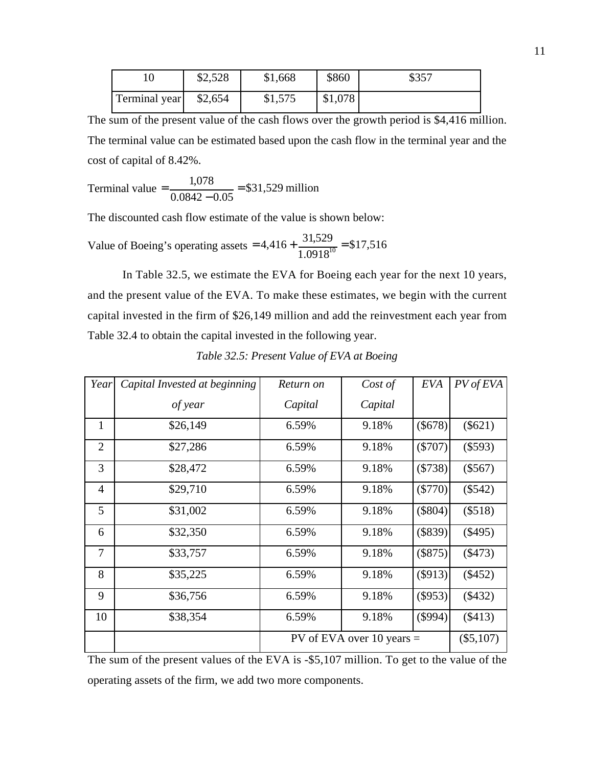|               | \$2,528 | \$1,668 | \$860   | \$357 |
|---------------|---------|---------|---------|-------|
| Terminal year | \$2,654 | \$1,575 | \$1,078 |       |

The sum of the present value of the cash flows over the growth period is \$4,416 million. The terminal value can be estimated based upon the cash flow in the terminal year and the cost of capital of 8.42%.

Terminal value = 
$$
\frac{1,078}{0.0842 - 0.05}
$$
 = \$31,529 million

The discounted cash flow estimate of the value is shown below:

Value of Boeing's operating assets = 
$$
4,416 + \frac{31,529}{1.0918^{10}} = $17,516
$$

In Table 32.5, we estimate the EVA for Boeing each year for the next 10 years, and the present value of the EVA. To make these estimates, we begin with the current capital invested in the firm of \$26,149 million and add the reinvestment each year from Table 32.4 to obtain the capital invested in the following year.

| Year           | Capital Invested at beginning | Return on | Cost of                     | EVA       | PV of EVA   |
|----------------|-------------------------------|-----------|-----------------------------|-----------|-------------|
|                | of year                       | Capital   | Capital                     |           |             |
| $\mathbf{1}$   | \$26,149                      | 6.59%     | 9.18%                       | (\$678)   | $(\$621)$   |
| $\overline{2}$ | \$27,286                      | 6.59%     | 9.18%                       | (S707)    | $(\$593)$   |
| 3              | \$28,472                      | 6.59%     | 9.18%                       | (\$738)   | $(\$567)$   |
| $\overline{4}$ | \$29,710                      | 6.59%     | 9.18%                       | $(\$770)$ | $(\$542)$   |
| 5              | \$31,002                      | 6.59%     | 9.18%                       | $(\$804)$ | (\$518)     |
| 6              | \$32,350                      | 6.59%     | 9.18%                       | (\$839)   | (\$495)     |
| 7              | \$33,757                      | 6.59%     | 9.18%                       | (\$875)   | (\$473)     |
| 8              | \$35,225                      | 6.59%     | 9.18%                       | (\$913)   | $(\$452)$   |
| 9              | \$36,756                      | 6.59%     | 9.18%                       | (\$953)   | $(\$432)$   |
| 10             | \$38,354                      | 6.59%     | 9.18%                       | $(\$994)$ | (\$413)     |
|                |                               |           | PV of EVA over 10 years $=$ |           | $(\$5,107)$ |

*Table 32.5: Present Value of EVA at Boeing*

The sum of the present values of the EVA is -\$5,107 million. To get to the value of the operating assets of the firm, we add two more components.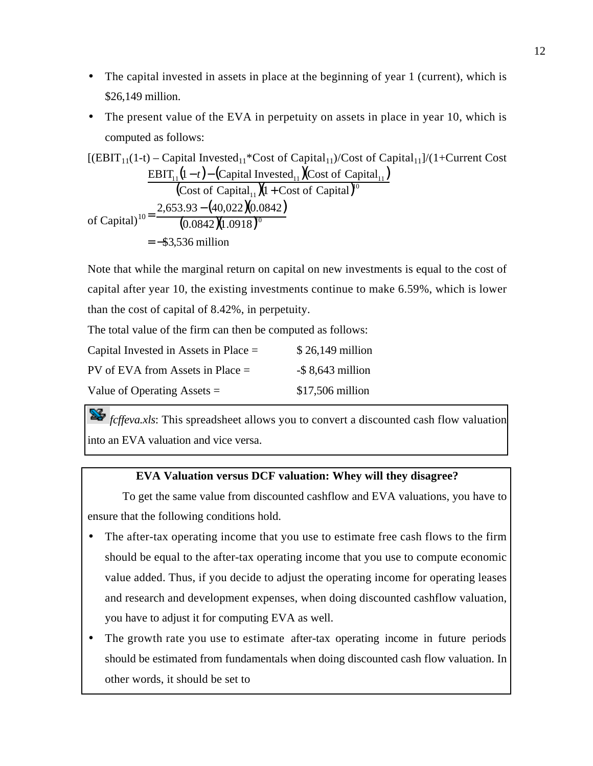- The capital invested in assets in place at the beginning of year 1 (current), which is \$26,149 million.
- The present value of the EVA in perpetuity on assets in place in year 10, which is computed as follows:

$$
[(EBIT_{11}(1-t) - Capital\text{ Invested}_{11} * Cost \text{ of Capital}_{11}) / Cost \text{ of Capital}_{11}]/(1+Current\text{ Cost}
$$
\n
$$
= \frac{EBIT_{11}(1-t) - (Capital\text{ Invested}_{11})(Cost \text{ of Capital}_{11})}{(Cost \text{ of Capital}_{11})(1+Cost \text{ of Capital})^0}
$$
\n
$$
= \frac{2,653.93 - (40,022)(0.0842)}{(0.0842)(1.0918)^0}
$$
\n
$$
= -\$3,536 \text{ million}
$$

Note that while the marginal return on capital on new investments is equal to the cost of capital after year 10, the existing investments continue to make 6.59%, which is lower than the cost of capital of 8.42%, in perpetuity.

The total value of the firm can then be computed as follows:

| Capital Invested in Assets in Place $=$ | $$26,149$ million    |
|-----------------------------------------|----------------------|
| $PV$ of EVA from Assets in Place $=$    | $-$ \$ 8,643 million |
| Value of Operating Assets $=$           | $$17,506$ million    |

*fcffeva.xls*: This spreadsheet allows you to convert a discounted cash flow valuation into an EVA valuation and vice versa.

# **EVA Valuation versus DCF valuation: Whey will they disagree?**

To get the same value from discounted cashflow and EVA valuations, you have to ensure that the following conditions hold.

- The after-tax operating income that you use to estimate free cash flows to the firm should be equal to the after-tax operating income that you use to compute economic value added. Thus, if you decide to adjust the operating income for operating leases and research and development expenses, when doing discounted cashflow valuation, you have to adjust it for computing EVA as well.
- The growth rate you use to estimate after-tax operating income in future periods should be estimated from fundamentals when doing discounted cash flow valuation. In other words, it should be set to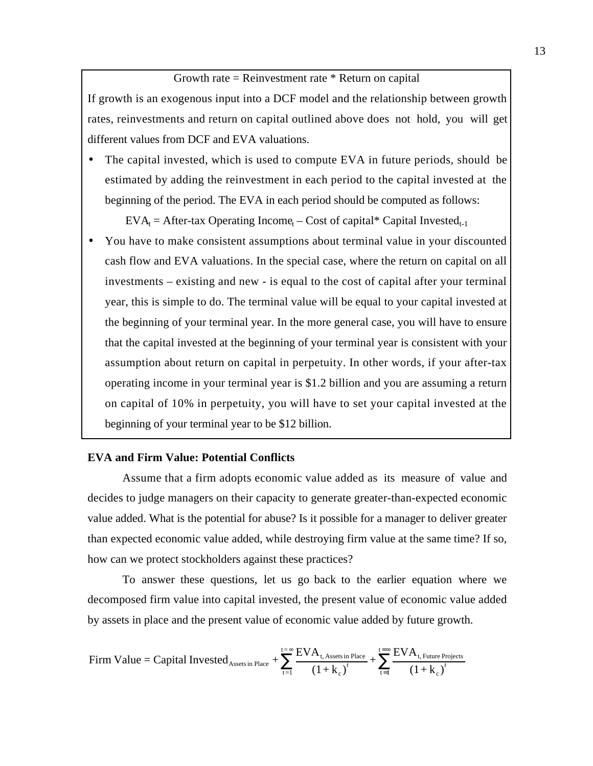Growth rate  $=$  Reinvestment rate  $*$  Return on capital

If growth is an exogenous input into a DCF model and the relationship between growth rates, reinvestments and return on capital outlined above does not hold, you will get different values from DCF and EVA valuations.

• The capital invested, which is used to compute EVA in future periods, should be estimated by adding the reinvestment in each period to the capital invested at the beginning of the period. The EVA in each period should be computed as follows:

 $EVA_t =$  After-tax Operating Income<sub>t</sub> – Cost of capital\* Capital Invested<sub>t-1</sub>

• You have to make consistent assumptions about terminal value in your discounted cash flow and EVA valuations. In the special case, where the return on capital on all investments – existing and new - is equal to the cost of capital after your terminal year, this is simple to do. The terminal value will be equal to your capital invested at the beginning of your terminal year. In the more general case, you will have to ensure that the capital invested at the beginning of your terminal year is consistent with your assumption about return on capital in perpetuity. In other words, if your after-tax operating income in your terminal year is \$1.2 billion and you are assuming a return on capital of 10% in perpetuity, you will have to set your capital invested at the beginning of your terminal year to be \$12 billion.

## **EVA and Firm Value: Potential Conflicts**

Assume that a firm adopts economic value added as its measure of value and decides to judge managers on their capacity to generate greater-than-expected economic value added. What is the potential for abuse? Is it possible for a manager to deliver greater than expected economic value added, while destroying firm value at the same time? If so, how can we protect stockholders against these practices?

To answer these questions, let us go back to the earlier equation where we decomposed firm value into capital invested, the present value of economic value added by assets in place and the present value of economic value added by future growth.

$$
\text{Firm Value} = \text{Capital Investigating} + \sum_{t=1}^{t=} \frac{EVA_{t, \text{ Assets in Place}}}{(1 + k_c)} + \sum_{t=1}^{t=} \frac{EVA_{t, \text{Future Projects}}}{(1 + k_c)^t}
$$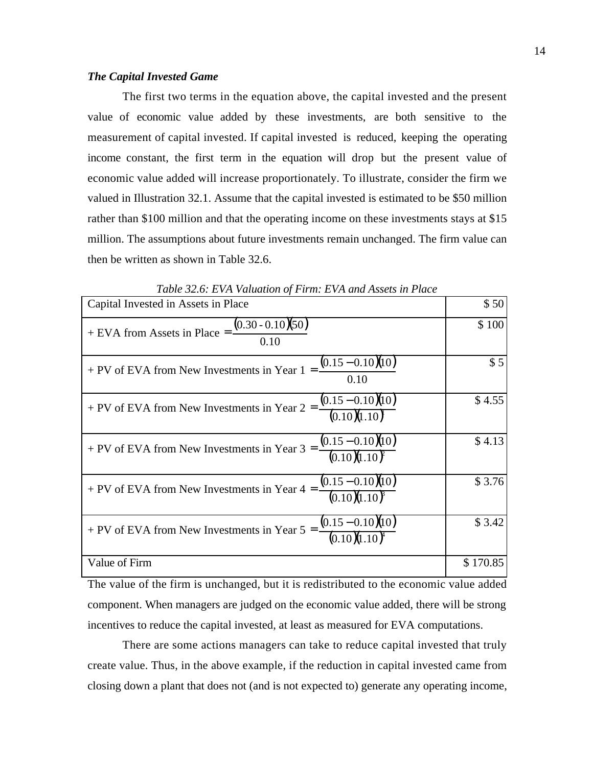# *The Capital Invested Game*

The first two terms in the equation above, the capital invested and the present value of economic value added by these investments, are both sensitive to the measurement of capital invested. If capital invested is reduced, keeping the operating income constant, the first term in the equation will drop but the present value of economic value added will increase proportionately. To illustrate, consider the firm we valued in Illustration 32.1. Assume that the capital invested is estimated to be \$50 million rather than \$100 million and that the operating income on these investments stays at \$15 million. The assumptions about future investments remain unchanged. The firm value can then be written as shown in Table 32.6.

| Capital Invested in Assets in Place                                                          | \$50     |
|----------------------------------------------------------------------------------------------|----------|
| + EVA from Assets in Place = $\frac{(0.30 - 0.10)(50)}{0.10}$                                | \$100    |
| $(0.15 - 0.10)(10)$<br>+ PV of EVA from New Investments in Year $1 =$<br>0.10                | \$5      |
| $\frac{(0.15-0.10)(10)}{(0.10)(1.10)}$<br>+ PV of EVA from New Investments in Year $2 =$     | \$4.55   |
| $\frac{(0.15-0.10)(10)}{(0.10)(1.10)^2}$<br>+ PV of EVA from New Investments in Year $3 = -$ | \$4.13   |
| $\frac{(0.15-0.10)(10)}{(0.10)(1.10)^3}$<br>+ PV of EVA from New Investments in Year $4 = -$ | \$3.76   |
| + PV of EVA from New Investments in Year $5 = \frac{(0.15 - 0.10)(10)}{(0.10)(1.10)^4}$      | \$3.42   |
| Value of Firm                                                                                | \$170.85 |

*Table 32.6: EVA Valuation of Firm: EVA and Assets in Place*

The value of the firm is unchanged, but it is redistributed to the economic value added component. When managers are judged on the economic value added, there will be strong incentives to reduce the capital invested, at least as measured for EVA computations.

There are some actions managers can take to reduce capital invested that truly create value. Thus, in the above example, if the reduction in capital invested came from closing down a plant that does not (and is not expected to) generate any operating income,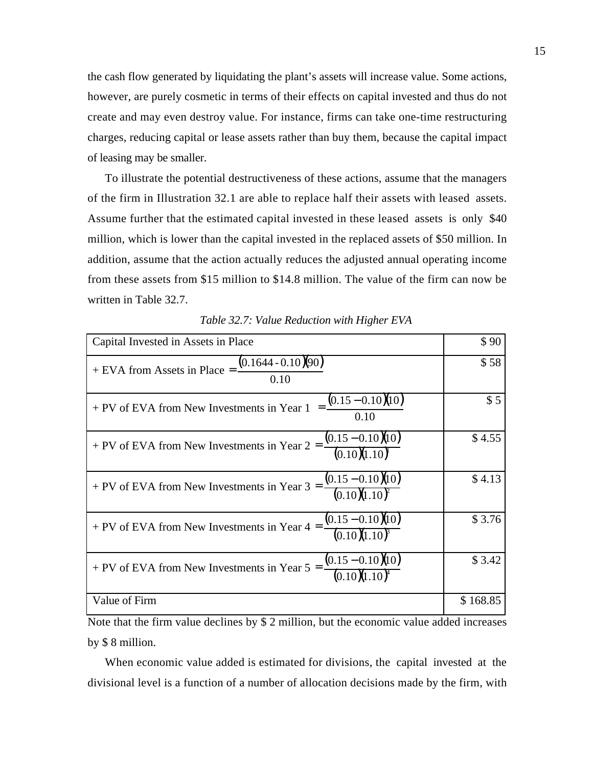the cash flow generated by liquidating the plant's assets will increase value. Some actions, however, are purely cosmetic in terms of their effects on capital invested and thus do not create and may even destroy value. For instance, firms can take one-time restructuring charges, reducing capital or lease assets rather than buy them, because the capital impact of leasing may be smaller.

To illustrate the potential destructiveness of these actions, assume that the managers of the firm in Illustration 32.1 are able to replace half their assets with leased assets. Assume further that the estimated capital invested in these leased assets is only \$40 million, which is lower than the capital invested in the replaced assets of \$50 million. In addition, assume that the action actually reduces the adjusted annual operating income from these assets from \$15 million to \$14.8 million. The value of the firm can now be written in Table 32.7.

| Capital Invested in Assets in Place                                                          | \$90     |  |
|----------------------------------------------------------------------------------------------|----------|--|
| + EVA from Assets in Place = $\frac{(0.1644 - 0.10)(90)}{0.10}$                              | \$58     |  |
| $(0.15 - 0.10)(10)$<br>+ PV of EVA from New Investments in Year 1<br>0.10                    | \$5      |  |
| $\frac{(0.15-0.10)(10)}{(0.10)(1.10)}$<br>$+$ PV of EVA from New Investments in Year 2 =     | \$4.55   |  |
| $\frac{(0.15-0.10)(10)}{(0.10)(1.10)^2}$<br>+ PV of EVA from New Investments in Year $3 =$   | \$4.13   |  |
| $\frac{(0.15-0.10)(10)}{(0.10)(1.10)^3}$<br>+ PV of EVA from New Investments in Year $4 = -$ | \$3.76   |  |
| $(0.15 - 0.10)(10)$<br>$+$ PV of EVA from New Investments in Year 5 =                        | \$3.42   |  |
| Value of Firm                                                                                | \$168.85 |  |

*Table 32.7: Value Reduction with Higher EVA*

Note that the firm value declines by \$ 2 million, but the economic value added increases by \$ 8 million.

When economic value added is estimated for divisions, the capital invested at the divisional level is a function of a number of allocation decisions made by the firm, with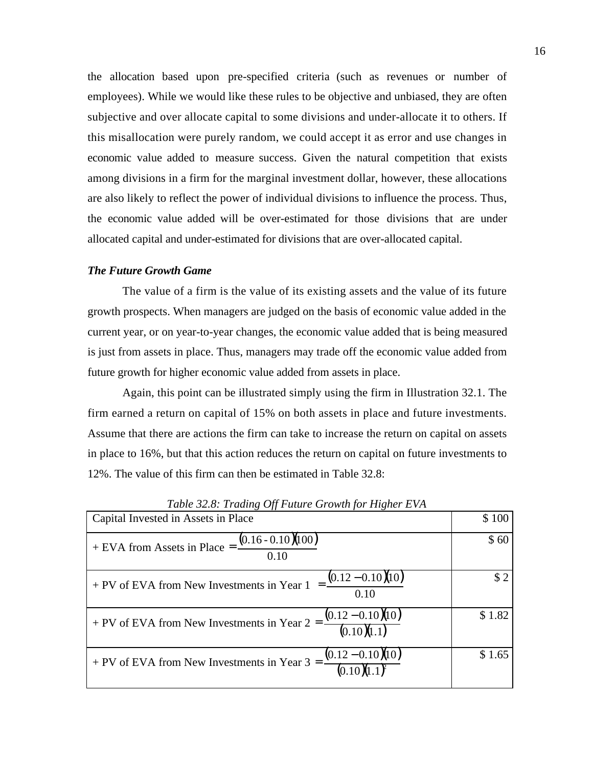the allocation based upon pre-specified criteria (such as revenues or number of employees). While we would like these rules to be objective and unbiased, they are often subjective and over allocate capital to some divisions and under-allocate it to others. If this misallocation were purely random, we could accept it as error and use changes in economic value added to measure success. Given the natural competition that exists among divisions in a firm for the marginal investment dollar, however, these allocations are also likely to reflect the power of individual divisions to influence the process. Thus, the economic value added will be over-estimated for those divisions that are under allocated capital and under-estimated for divisions that are over-allocated capital.

# *The Future Growth Game*

The value of a firm is the value of its existing assets and the value of its future growth prospects. When managers are judged on the basis of economic value added in the current year, or on year-to-year changes, the economic value added that is being measured is just from assets in place. Thus, managers may trade off the economic value added from future growth for higher economic value added from assets in place.

Again, this point can be illustrated simply using the firm in Illustration 32.1. The firm earned a return on capital of 15% on both assets in place and future investments. Assume that there are actions the firm can take to increase the return on capital on assets in place to 16%, but that this action reduces the return on capital on future investments to 12%. The value of this firm can then be estimated in Table 32.8:

| Capital Invested in Assets in Place                                                | \$100  |  |
|------------------------------------------------------------------------------------|--------|--|
| $(0.16 - 0.10)(100)$<br>$+$ EVA from Assets in Place =<br>0.10                     | \$60   |  |
| $=$ $(0.12 - 0.10)(10)$<br>$+$ PV of EVA from New Investments in Year 1<br>0.10    | \$2    |  |
| $(0.12 - 0.10)(10)$<br>$+$ PV of EVA from New Investments in Year 2 =<br>(0.10)(1. | \$1.82 |  |
| $(0.12 - 0.10)(10)$<br>$+$ PV of EVA from New Investments in Year 3 =              | \$1.65 |  |

*Table 32.8: Trading Off Future Growth for Higher EVA*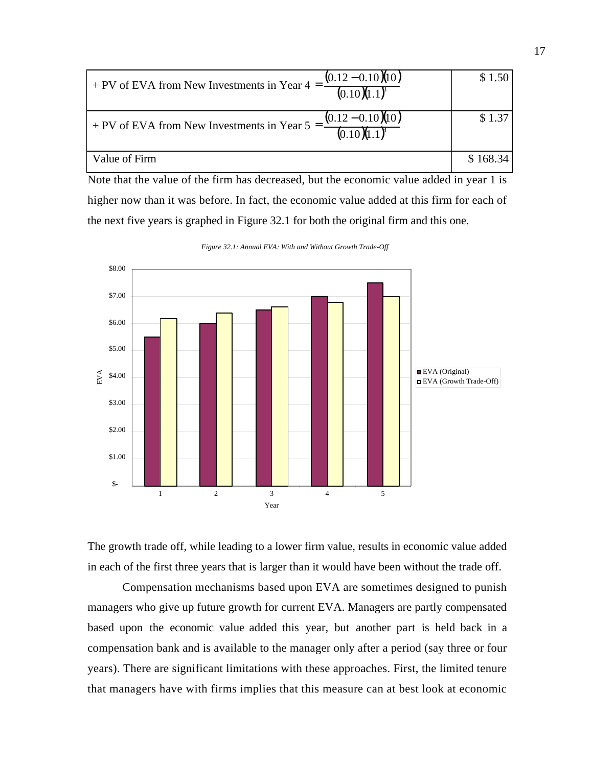| $(0.12 - 0.10)(10)$<br>$+$ PV of EVA from New Investments in Year 4 = | \$1.50   |  |
|-----------------------------------------------------------------------|----------|--|
| $(0.12 - 0.10)(10)$<br>$+$ PV of EVA from New Investments in Year 5 = | \$1.37   |  |
| Value of Firm                                                         | \$168.34 |  |

Note that the value of the firm has decreased, but the economic value added in year 1 is higher now than it was before. In fact, the economic value added at this firm for each of the next five years is graphed in Figure 32.1 for both the original firm and this one.



*Figure 32.1: Annual EVA: With and Without Growth Trade-Off*

The growth trade off, while leading to a lower firm value, results in economic value added in each of the first three years that is larger than it would have been without the trade off.

Compensation mechanisms based upon EVA are sometimes designed to punish managers who give up future growth for current EVA. Managers are partly compensated based upon the economic value added this year, but another part is held back in a compensation bank and is available to the manager only after a period (say three or four years). There are significant limitations with these approaches. First, the limited tenure that managers have with firms implies that this measure can at best look at economic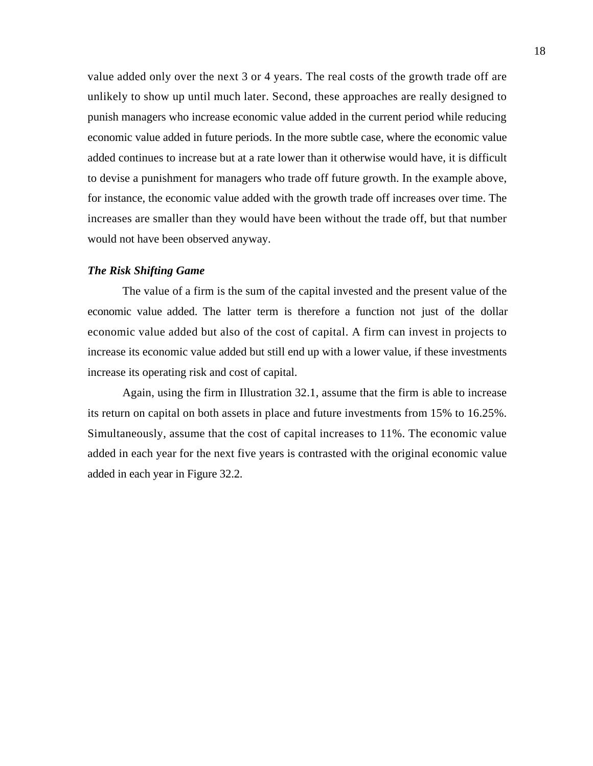value added only over the next 3 or 4 years. The real costs of the growth trade off are unlikely to show up until much later. Second, these approaches are really designed to punish managers who increase economic value added in the current period while reducing economic value added in future periods. In the more subtle case, where the economic value added continues to increase but at a rate lower than it otherwise would have, it is difficult to devise a punishment for managers who trade off future growth. In the example above, for instance, the economic value added with the growth trade off increases over time. The increases are smaller than they would have been without the trade off, but that number would not have been observed anyway.

#### *The Risk Shifting Game*

The value of a firm is the sum of the capital invested and the present value of the economic value added. The latter term is therefore a function not just of the dollar economic value added but also of the cost of capital. A firm can invest in projects to increase its economic value added but still end up with a lower value, if these investments increase its operating risk and cost of capital.

Again, using the firm in Illustration 32.1, assume that the firm is able to increase its return on capital on both assets in place and future investments from 15% to 16.25%. Simultaneously, assume that the cost of capital increases to 11%. The economic value added in each year for the next five years is contrasted with the original economic value added in each year in Figure 32.2.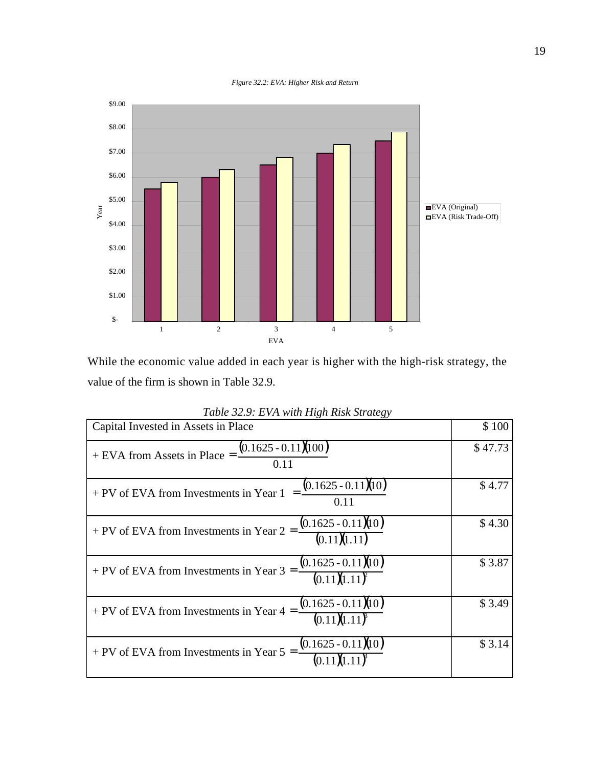*Figure 32.2: EVA: Higher Risk and Return*



While the economic value added in each year is higher with the high-risk strategy, the value of the firm is shown in Table 32.9.

| Capital Invested in Assets in Place                                                        | \$100   |
|--------------------------------------------------------------------------------------------|---------|
| + EVA from Assets in Place = $\frac{(0.1625 - 0.11)(100)}{0.11}$                           | \$47.73 |
| $(0.1625 - 0.11)(10)$<br>+ PV of EVA from Investments in Year $1 =$<br>0.11                | \$4.77  |
| + PV of EVA from Investments in Year 2 = $\frac{(0.1625 - 0.11)(10)}{10}$                  | \$4.30  |
| $\frac{(0.1625 - 0.11)(10)}{(0.11)(1.11)^2}$<br>+ PV of EVA from Investments in Year $3 =$ | \$3.87  |
| + PV of EVA from Investments in Year $4 = \frac{(0.1625 - 0.11)(10)}{(0.11)(1.11)^{9}}$    | \$3.49  |
| + PV of EVA from Investments in Year 5 = $\frac{(0.1625 - 0.11)(10)}{100}$                 | \$3.14  |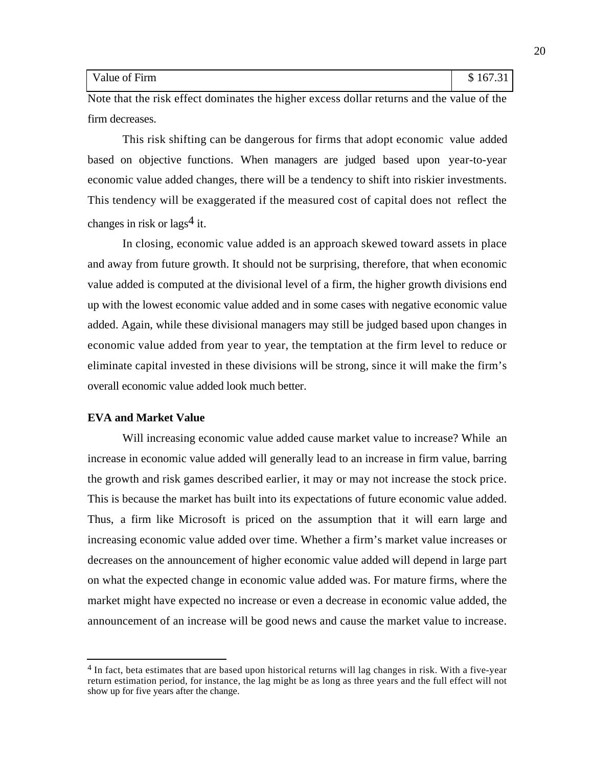| Value of Firm<br>6<br>◡<br>1 V | $\cdot$ |
|--------------------------------|---------|

Note that the risk effect dominates the higher excess dollar returns and the value of the firm decreases.

This risk shifting can be dangerous for firms that adopt economic value added based on objective functions. When managers are judged based upon year-to-year economic value added changes, there will be a tendency to shift into riskier investments. This tendency will be exaggerated if the measured cost of capital does not reflect the changes in risk or lags<sup>4</sup> it.

In closing, economic value added is an approach skewed toward assets in place and away from future growth. It should not be surprising, therefore, that when economic value added is computed at the divisional level of a firm, the higher growth divisions end up with the lowest economic value added and in some cases with negative economic value added. Again, while these divisional managers may still be judged based upon changes in economic value added from year to year, the temptation at the firm level to reduce or eliminate capital invested in these divisions will be strong, since it will make the firm's overall economic value added look much better.

# **EVA and Market Value**

l

Will increasing economic value added cause market value to increase? While an increase in economic value added will generally lead to an increase in firm value, barring the growth and risk games described earlier, it may or may not increase the stock price. This is because the market has built into its expectations of future economic value added. Thus, a firm like Microsoft is priced on the assumption that it will earn large and increasing economic value added over time. Whether a firm's market value increases or decreases on the announcement of higher economic value added will depend in large part on what the expected change in economic value added was. For mature firms, where the market might have expected no increase or even a decrease in economic value added, the announcement of an increase will be good news and cause the market value to increase.

<sup>&</sup>lt;sup>4</sup> In fact, beta estimates that are based upon historical returns will lag changes in risk. With a five-year return estimation period, for instance, the lag might be as long as three years and the full effect will not show up for five years after the change.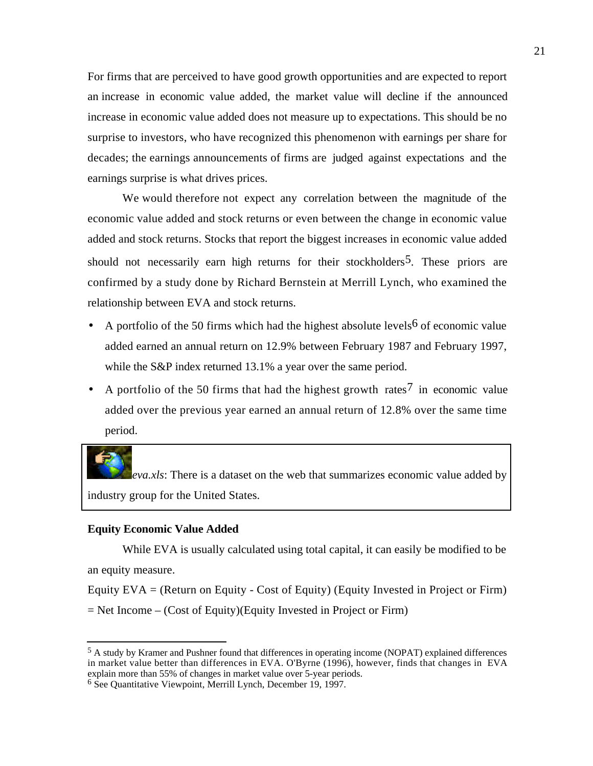For firms that are perceived to have good growth opportunities and are expected to report an increase in economic value added, the market value will decline if the announced increase in economic value added does not measure up to expectations. This should be no surprise to investors, who have recognized this phenomenon with earnings per share for decades; the earnings announcements of firms are judged against expectations and the earnings surprise is what drives prices.

We would therefore not expect any correlation between the magnitude of the economic value added and stock returns or even between the change in economic value added and stock returns. Stocks that report the biggest increases in economic value added should not necessarily earn high returns for their stockholders<sup>5</sup>. These priors are confirmed by a study done by Richard Bernstein at Merrill Lynch, who examined the relationship between EVA and stock returns.

- A portfolio of the 50 firms which had the highest absolute levels<sup>6</sup> of economic value added earned an annual return on 12.9% between February 1987 and February 1997, while the S&P index returned 13.1% a year over the same period.
- A portfolio of the 50 firms that had the highest growth rates<sup>7</sup> in economic value added over the previous year earned an annual return of 12.8% over the same time period.

*eva.xls*: There is a dataset on the web that summarizes economic value added by industry group for the United States.

#### **Equity Economic Value Added**

l

While EVA is usually calculated using total capital, it can easily be modified to be an equity measure.

Equity EVA = (Return on Equity - Cost of Equity) (Equity Invested in Project or Firm) = Net Income – (Cost of Equity)(Equity Invested in Project or Firm)

<sup>5</sup> A study by Kramer and Pushner found that differences in operating income (NOPAT) explained differences in market value better than differences in EVA. O'Byrne (1996), however, finds that changes in EVA explain more than 55% of changes in market value over 5-year periods.

<sup>6</sup> See Quantitative Viewpoint, Merrill Lynch, December 19, 1997.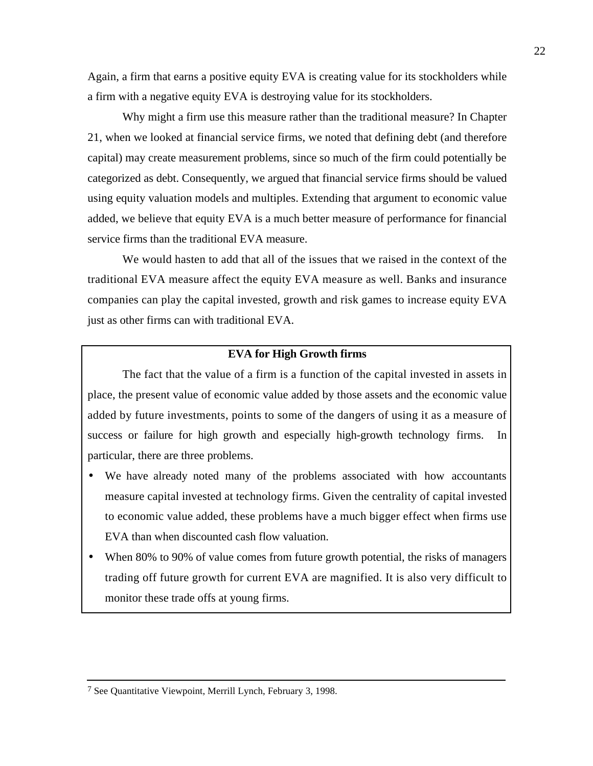Again, a firm that earns a positive equity EVA is creating value for its stockholders while a firm with a negative equity EVA is destroying value for its stockholders.

Why might a firm use this measure rather than the traditional measure? In Chapter 21, when we looked at financial service firms, we noted that defining debt (and therefore capital) may create measurement problems, since so much of the firm could potentially be categorized as debt. Consequently, we argued that financial service firms should be valued using equity valuation models and multiples. Extending that argument to economic value added, we believe that equity EVA is a much better measure of performance for financial service firms than the traditional EVA measure.

We would hasten to add that all of the issues that we raised in the context of the traditional EVA measure affect the equity EVA measure as well. Banks and insurance companies can play the capital invested, growth and risk games to increase equity EVA just as other firms can with traditional EVA.

# **EVA for High Growth firms**

The fact that the value of a firm is a function of the capital invested in assets in place, the present value of economic value added by those assets and the economic value added by future investments, points to some of the dangers of using it as a measure of success or failure for high growth and especially high-growth technology firms. In particular, there are three problems.

- We have already noted many of the problems associated with how accountants measure capital invested at technology firms. Given the centrality of capital invested to economic value added, these problems have a much bigger effect when firms use EVA than when discounted cash flow valuation.
- When 80% to 90% of value comes from future growth potential, the risks of managers trading off future growth for current EVA are magnified. It is also very difficult to monitor these trade offs at young firms.

l

<sup>7</sup> See Quantitative Viewpoint, Merrill Lynch, February 3, 1998.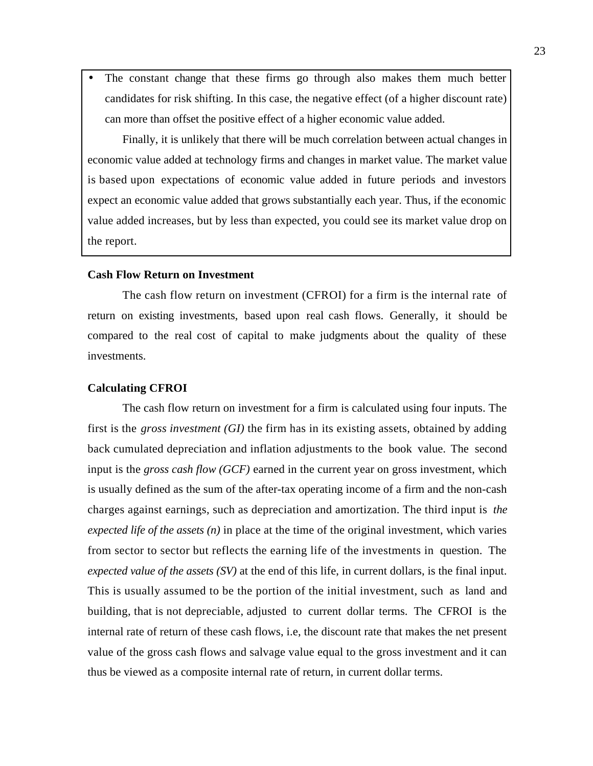The constant change that these firms go through also makes them much better candidates for risk shifting. In this case, the negative effect (of a higher discount rate) can more than offset the positive effect of a higher economic value added.

Finally, it is unlikely that there will be much correlation between actual changes in economic value added at technology firms and changes in market value. The market value is based upon expectations of economic value added in future periods and investors expect an economic value added that grows substantially each year. Thus, if the economic value added increases, but by less than expected, you could see its market value drop on the report.

#### **Cash Flow Return on Investment**

The cash flow return on investment (CFROI) for a firm is the internal rate of return on existing investments, based upon real cash flows. Generally, it should be compared to the real cost of capital to make judgments about the quality of these investments.

#### **Calculating CFROI**

The cash flow return on investment for a firm is calculated using four inputs. The first is the *gross investment (GI)* the firm has in its existing assets, obtained by adding back cumulated depreciation and inflation adjustments to the book value. The second input is the *gross cash flow (GCF)* earned in the current year on gross investment, which is usually defined as the sum of the after-tax operating income of a firm and the non-cash charges against earnings, such as depreciation and amortization. The third input is *the expected life of the assets (n)* in place at the time of the original investment, which varies from sector to sector but reflects the earning life of the investments in question. The *expected value of the assets (SV)* at the end of this life, in current dollars, is the final input. This is usually assumed to be the portion of the initial investment, such as land and building, that is not depreciable, adjusted to current dollar terms. The CFROI is the internal rate of return of these cash flows, i.e, the discount rate that makes the net present value of the gross cash flows and salvage value equal to the gross investment and it can thus be viewed as a composite internal rate of return, in current dollar terms.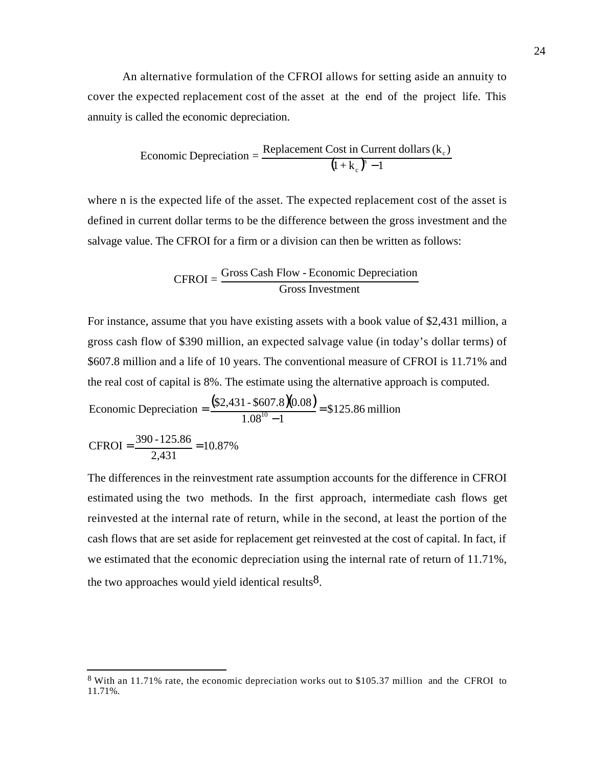An alternative formulation of the CFROI allows for setting aside an annuity to cover the expected replacement cost of the asset at the end of the project life. This annuity is called the economic depreciation.

Economic Depreciation = 
$$
\frac{\text{Replacement Cost in Current dollars (kc)}}{(1 + kc)n - 1}
$$

where n is the expected life of the asset. The expected replacement cost of the asset is defined in current dollar terms to be the difference between the gross investment and the salvage value. The CFROI for a firm or a division can then be written as follows:

$$
CFROI = \frac{Gross Cash Flow - Economic Depreciation}{Gross Investment}
$$

For instance, assume that you have existing assets with a book value of \$2,431 million, a gross cash flow of \$390 million, an expected salvage value (in today's dollar terms) of \$607.8 million and a life of 10 years. The conventional measure of CFROI is 11.71% and the real cost of capital is 8%. The estimate using the alternative approach is computed.

Economic Depreciation = 
$$
\frac{\$2,431 - \$607.8)(0.08)}{1.08^{10} - 1} = \$125.86 \text{ million}
$$

$$
CFROI = \frac{390 - 125.86}{2,431} = 10.87\%
$$

l

The differences in the reinvestment rate assumption accounts for the difference in CFROI estimated using the two methods. In the first approach, intermediate cash flows get reinvested at the internal rate of return, while in the second, at least the portion of the cash flows that are set aside for replacement get reinvested at the cost of capital. In fact, if we estimated that the economic depreciation using the internal rate of return of 11.71%, the two approaches would yield identical results  $8$ .

<sup>8</sup> With an 11.71% rate, the economic depreciation works out to \$105.37 million and the CFROI to 11.71%.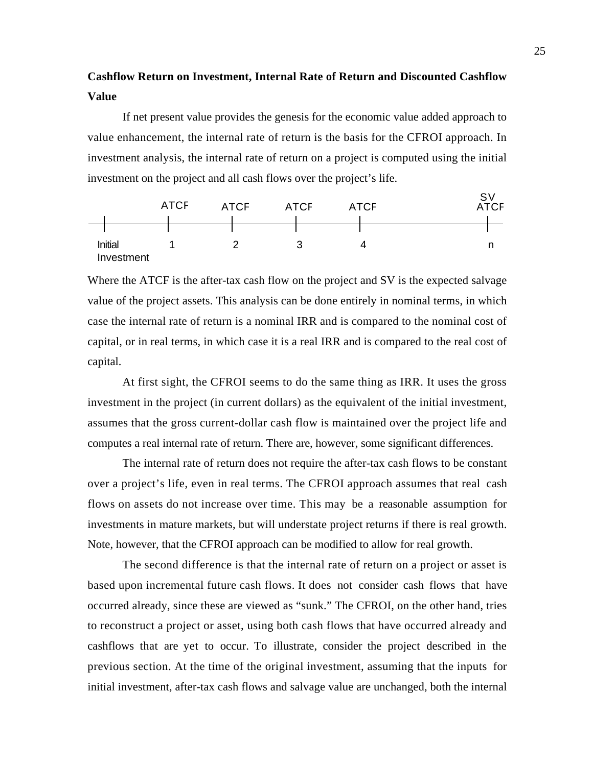# **Cashflow Return on Investment, Internal Rate of Return and Discounted Cashflow Value**

If net present value provides the genesis for the economic value added approach to value enhancement, the internal rate of return is the basis for the CFROI approach. In investment analysis, the internal rate of return on a project is computed using the initial investment on the project and all cash flows over the project's life.



Where the ATCF is the after-tax cash flow on the project and SV is the expected salvage value of the project assets. This analysis can be done entirely in nominal terms, in which case the internal rate of return is a nominal IRR and is compared to the nominal cost of capital, or in real terms, in which case it is a real IRR and is compared to the real cost of capital.

At first sight, the CFROI seems to do the same thing as IRR. It uses the gross investment in the project (in current dollars) as the equivalent of the initial investment, assumes that the gross current-dollar cash flow is maintained over the project life and computes a real internal rate of return. There are, however, some significant differences.

The internal rate of return does not require the after-tax cash flows to be constant over a project's life, even in real terms. The CFROI approach assumes that real cash flows on assets do not increase over time. This may be a reasonable assumption for investments in mature markets, but will understate project returns if there is real growth. Note, however, that the CFROI approach can be modified to allow for real growth.

The second difference is that the internal rate of return on a project or asset is based upon incremental future cash flows. It does not consider cash flows that have occurred already, since these are viewed as "sunk." The CFROI, on the other hand, tries to reconstruct a project or asset, using both cash flows that have occurred already and cashflows that are yet to occur. To illustrate, consider the project described in the previous section. At the time of the original investment, assuming that the inputs for initial investment, after-tax cash flows and salvage value are unchanged, both the internal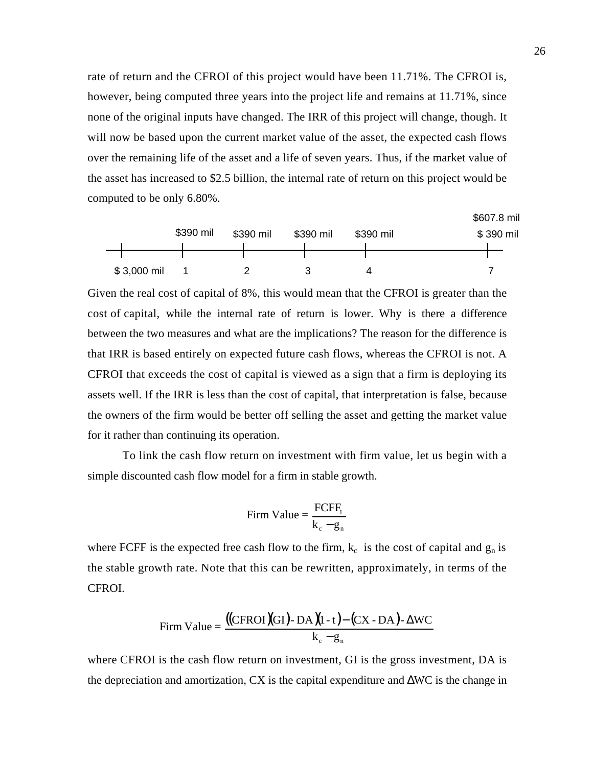rate of return and the CFROI of this project would have been 11.71%. The CFROI is, however, being computed three years into the project life and remains at 11.71%, since none of the original inputs have changed. The IRR of this project will change, though. It will now be based upon the current market value of the asset, the expected cash flows over the remaining life of the asset and a life of seven years. Thus, if the market value of the asset has increased to \$2.5 billion, the internal rate of return on this project would be computed to be only 6.80%.



Given the real cost of capital of 8%, this would mean that the CFROI is greater than the cost of capital, while the internal rate of return is lower. Why is there a difference between the two measures and what are the implications? The reason for the difference is that IRR is based entirely on expected future cash flows, whereas the CFROI is not. A CFROI that exceeds the cost of capital is viewed as a sign that a firm is deploying its assets well. If the IRR is less than the cost of capital, that interpretation is false, because the owners of the firm would be better off selling the asset and getting the market value for it rather than continuing its operation.

To link the cash flow return on investment with firm value, let us begin with a simple discounted cash flow model for a firm in stable growth.

$$
Firm Value = \frac{FCFF_1}{k_c - g_n}
$$

where FCFF is the expected free cash flow to the firm,  $k_c$  is the cost of capital and  $g_n$  is the stable growth rate. Note that this can be rewritten, approximately, in terms of the CFROI.

$$
\text{Firm Value} = \frac{((\text{CFROI})(\text{GI}) - \text{DA})(1 - t) - (\text{CX} - \text{DA}) - \text{WC}}{k_c - g_n}
$$

where CFROI is the cash flow return on investment, GI is the gross investment, DA is the depreciation and amortization, CX is the capital expenditure and WC is the change in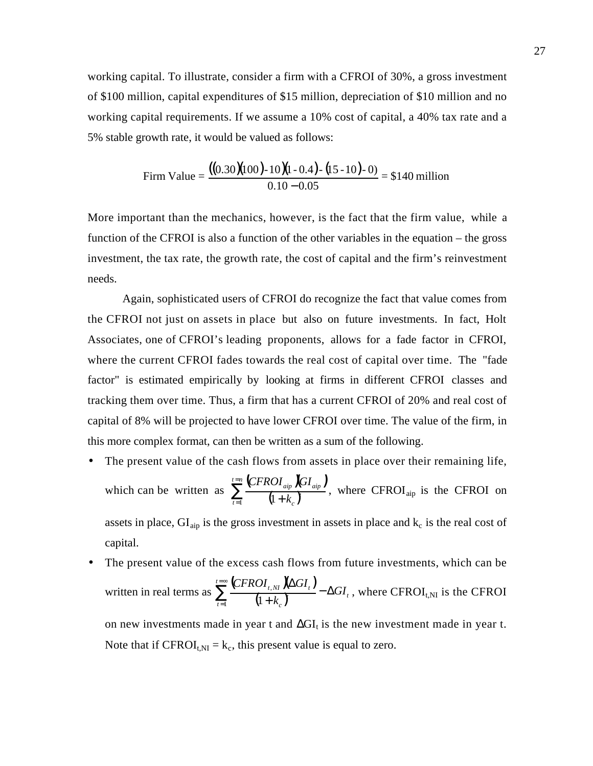working capital. To illustrate, consider a firm with a CFROI of 30%, a gross investment of \$100 million, capital expenditures of \$15 million, depreciation of \$10 million and no working capital requirements. If we assume a 10% cost of capital, a 40% tax rate and a 5% stable growth rate, it would be valued as follows:

$$
\text{Firm Value} = \frac{((0.30)(100) - 10)(1 - 0.4) - (15 - 10) - 0}{0.10 - 0.05} = \$140 \text{ million}
$$

More important than the mechanics, however, is the fact that the firm value, while a function of the CFROI is also a function of the other variables in the equation – the gross investment, the tax rate, the growth rate, the cost of capital and the firm's reinvestment needs.

Again, sophisticated users of CFROI do recognize the fact that value comes from the CFROI not just on assets in place but also on future investments. In fact, Holt Associates, one of CFROI's leading proponents, allows for a fade factor in CFROI, where the current CFROI fades towards the real cost of capital over time. The "fade factor" is estimated empirically by looking at firms in different CFROI classes and tracking them over time. Thus, a firm that has a current CFROI of 20% and real cost of capital of 8% will be projected to have lower CFROI over time. The value of the firm, in this more complex format, can then be written as a sum of the following.

- The present value of the cash flows from assets in place over their remaining life, which can be written as  $\frac{t=n}{(FROI_{aip})}(GI_{aip})$ , where CFROI<sub>aip</sub> is the CFROI on  $(1 + k_c)$ , where CFROT<sub>aip</sub> is the CFR  $= n$   $CFROI$   $KI$   $\Box$  $(1 + k_c)$  , where  $22222$  applies the  $22222$  $t=n$   $CFBOI$   $KJI$   $I$  $t=1$   $\qquad \qquad \mathbf{u} + \mathbf{\kappa}$  $\sqrt{t}$ , when  $\frac{a^{ip}}{k_c}$ , where CFROI<sub>aip</sub> is the  $CFROI_{\text{gin}}(GI_{\text{gin}})$  *CFROI*  $1 + k_c$  , there existing to the , where CFROI<sub>aip</sub> is the CFROI on assets in place,  $GI_{aip}$  is the gross investment in assets in place and  $k_c$  is the real cost of capital.
- The present value of the excess cash flows from future investments, which can be written in real terms as  $\frac{1}{C}$   $\frac{1}{C}$   $\frac{1}{C}$   $\frac{1}{C}$   $\frac{1}{C}$   $\frac{1}{C}$   $\frac{1}{C}$   $\frac{1}{C}$   $\frac{1}{C}$   $\frac{1}{C}$   $\frac{1}{C}$   $\frac{1}{C}$   $\frac{1}{C}$   $\frac{1}{C}$   $\frac{1}{C}$   $\frac{1}{C}$   $\frac{1}{C}$   $\frac{1}{C}$   $\frac{1}{C}$   $\frac{1}{$  $(1 + k_c)$   $\qquad \qquad$   $\qquad \qquad$   $\qquad \qquad$   $\qquad \qquad$   $\qquad \qquad$   $\qquad \qquad$   $\qquad \qquad$   $\qquad \qquad$   $\qquad \qquad$   $\qquad \qquad$   $\qquad \qquad$   $\qquad \qquad$   $\qquad \qquad$   $\qquad \qquad$   $\qquad \qquad$   $\qquad \qquad$   $\qquad \qquad$   $\qquad \qquad$   $\qquad \qquad$   $\qquad \qquad$   $\qquad \qquad$   $\qquad \qquad \qquad$   $\qquad \qquad \qquad$  $t =$   $CFRAI$  $t=1$   $\qquad \qquad \mathbf{U} + \mathbf{K}$ *t c*  $\frac{H_t N I}{I}$   $\frac{H_t}{I}$   $\frac{H_t}{I}$   $\frac{H_t}{I}$   $\frac{H_t}{I}$   $\frac{H_t}{I}$   $\frac{H_t}{I}$   $\frac{H_t}{I}$   $\frac{H_t}{I}$   $\frac{H_t}{I}$  is the  $k_c$   $\int$  $\frac{CFROI_{t, NI}}{GIA}$   $\frac{GI_t}{GIA}$  –  $GI_t$ , where CFROI<sub>t.NI</sub> is the CFROI +  $k_c$  )  $\qquad \qquad$   $\qquad$   $\qquad$   $\qquad$   $\qquad$   $\qquad$   $\qquad$   $\qquad$   $\qquad$   $\qquad$   $\qquad$   $\qquad$   $\qquad$   $\qquad$   $\qquad$   $\qquad$   $\qquad$   $\qquad$   $\qquad$   $\qquad$   $\qquad$   $\qquad$   $\qquad$   $\qquad$   $\qquad$   $\qquad$   $\qquad$   $\qquad$   $\qquad$   $\qquad$   $\qquad$   $\qquad$   $\qquad$   $\qquad$   $\qquad$  $=$   $CFROI$   $\{CI\}$  $=1$   $\qquad \qquad \mathbf{u} + \mathbf{k}_c$  $,_{N}N \wedge ^{U_{t}}N$  $\frac{1}{(1+k_c)}$  –  $GI_t$ , where CFROI<sub>t,NI</sub> is the CFROI

on new investments made in year  $t$  and  $\sigma$ GI<sub>t</sub> is the new investment made in year  $t$ . Note that if  $CFROI_{t, NI} = k_c$ , this present value is equal to zero.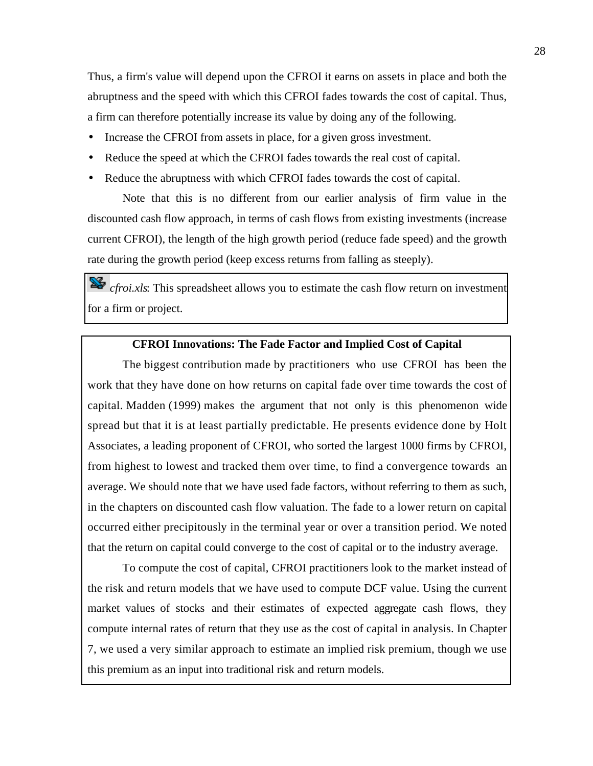Thus, a firm's value will depend upon the CFROI it earns on assets in place and both the abruptness and the speed with which this CFROI fades towards the cost of capital. Thus, a firm can therefore potentially increase its value by doing any of the following.

- Increase the CFROI from assets in place, for a given gross investment.
- Reduce the speed at which the CFROI fades towards the real cost of capital.
- Reduce the abruptness with which CFROI fades towards the cost of capital.

Note that this is no different from our earlier analysis of firm value in the discounted cash flow approach, in terms of cash flows from existing investments (increase current CFROI), the length of the high growth period (reduce fade speed) and the growth rate during the growth period (keep excess returns from falling as steeply).

**EV** *cfroi.xls*: This spreadsheet allows you to estimate the cash flow return on investment for a firm or project.

#### **CFROI Innovations: The Fade Factor and Implied Cost of Capital**

The biggest contribution made by practitioners who use CFROI has been the work that they have done on how returns on capital fade over time towards the cost of capital. Madden (1999) makes the argument that not only is this phenomenon wide spread but that it is at least partially predictable. He presents evidence done by Holt Associates, a leading proponent of CFROI, who sorted the largest 1000 firms by CFROI, from highest to lowest and tracked them over time, to find a convergence towards an average. We should note that we have used fade factors, without referring to them as such, in the chapters on discounted cash flow valuation. The fade to a lower return on capital occurred either precipitously in the terminal year or over a transition period. We noted that the return on capital could converge to the cost of capital or to the industry average.

To compute the cost of capital, CFROI practitioners look to the market instead of the risk and return models that we have used to compute DCF value. Using the current market values of stocks and their estimates of expected aggregate cash flows, they compute internal rates of return that they use as the cost of capital in analysis. In Chapter 7, we used a very similar approach to estimate an implied risk premium, though we use this premium as an input into traditional risk and return models.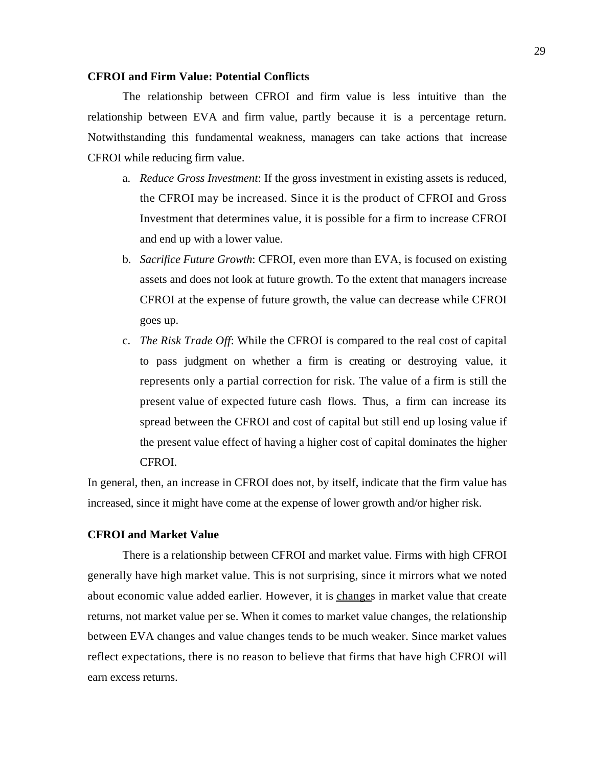#### **CFROI and Firm Value: Potential Conflicts**

The relationship between CFROI and firm value is less intuitive than the relationship between EVA and firm value, partly because it is a percentage return. Notwithstanding this fundamental weakness, managers can take actions that increase CFROI while reducing firm value.

- a. *Reduce Gross Investment*: If the gross investment in existing assets is reduced, the CFROI may be increased. Since it is the product of CFROI and Gross Investment that determines value, it is possible for a firm to increase CFROI and end up with a lower value.
- b. *Sacrifice Future Growth*: CFROI, even more than EVA, is focused on existing assets and does not look at future growth. To the extent that managers increase CFROI at the expense of future growth, the value can decrease while CFROI goes up.
- c. *The Risk Trade Off*: While the CFROI is compared to the real cost of capital to pass judgment on whether a firm is creating or destroying value, it represents only a partial correction for risk. The value of a firm is still the present value of expected future cash flows. Thus, a firm can increase its spread between the CFROI and cost of capital but still end up losing value if the present value effect of having a higher cost of capital dominates the higher CFROI.

In general, then, an increase in CFROI does not, by itself, indicate that the firm value has increased, since it might have come at the expense of lower growth and/or higher risk.

#### **CFROI and Market Value**

There is a relationship between CFROI and market value. Firms with high CFROI generally have high market value. This is not surprising, since it mirrors what we noted about economic value added earlier. However, it is changes in market value that create returns, not market value per se. When it comes to market value changes, the relationship between EVA changes and value changes tends to be much weaker. Since market values reflect expectations, there is no reason to believe that firms that have high CFROI will earn excess returns.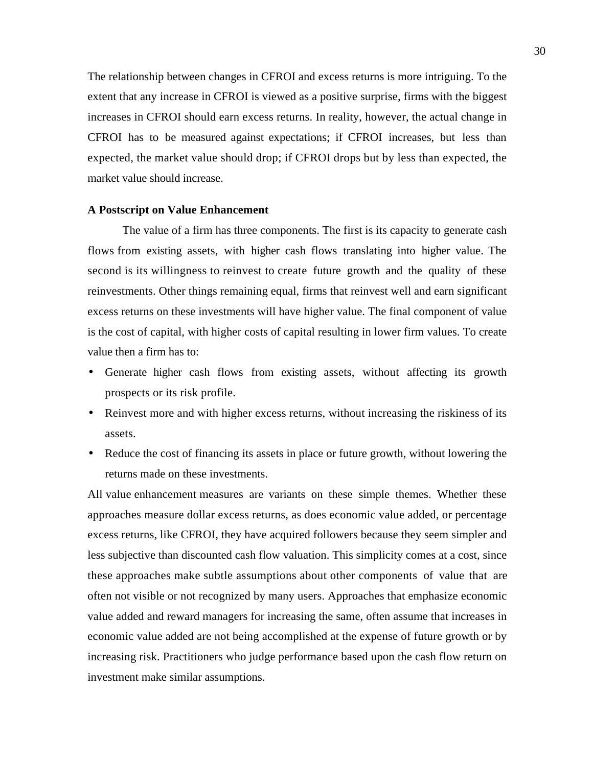The relationship between changes in CFROI and excess returns is more intriguing. To the extent that any increase in CFROI is viewed as a positive surprise, firms with the biggest increases in CFROI should earn excess returns. In reality, however, the actual change in CFROI has to be measured against expectations; if CFROI increases, but less than expected, the market value should drop; if CFROI drops but by less than expected, the market value should increase.

#### **A Postscript on Value Enhancement**

The value of a firm has three components. The first is its capacity to generate cash flows from existing assets, with higher cash flows translating into higher value. The second is its willingness to reinvest to create future growth and the quality of these reinvestments. Other things remaining equal, firms that reinvest well and earn significant excess returns on these investments will have higher value. The final component of value is the cost of capital, with higher costs of capital resulting in lower firm values. To create value then a firm has to:

- Generate higher cash flows from existing assets, without affecting its growth prospects or its risk profile.
- Reinvest more and with higher excess returns, without increasing the riskiness of its assets.
- Reduce the cost of financing its assets in place or future growth, without lowering the returns made on these investments.

All value enhancement measures are variants on these simple themes. Whether these approaches measure dollar excess returns, as does economic value added, or percentage excess returns, like CFROI, they have acquired followers because they seem simpler and less subjective than discounted cash flow valuation. This simplicity comes at a cost, since these approaches make subtle assumptions about other components of value that are often not visible or not recognized by many users. Approaches that emphasize economic value added and reward managers for increasing the same, often assume that increases in economic value added are not being accomplished at the expense of future growth or by increasing risk. Practitioners who judge performance based upon the cash flow return on investment make similar assumptions.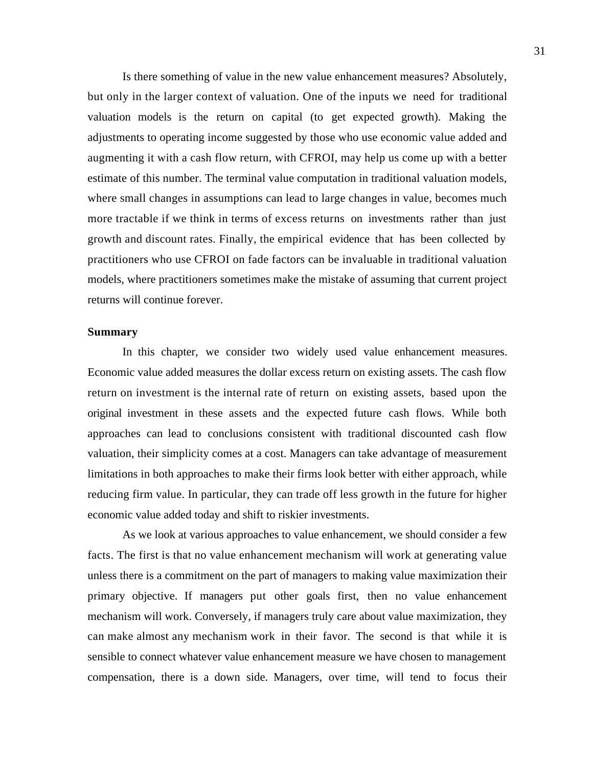Is there something of value in the new value enhancement measures? Absolutely, but only in the larger context of valuation. One of the inputs we need for traditional valuation models is the return on capital (to get expected growth). Making the adjustments to operating income suggested by those who use economic value added and augmenting it with a cash flow return, with CFROI, may help us come up with a better estimate of this number. The terminal value computation in traditional valuation models, where small changes in assumptions can lead to large changes in value, becomes much more tractable if we think in terms of excess returns on investments rather than just growth and discount rates. Finally, the empirical evidence that has been collected by practitioners who use CFROI on fade factors can be invaluable in traditional valuation models, where practitioners sometimes make the mistake of assuming that current project returns will continue forever.

#### **Summary**

In this chapter, we consider two widely used value enhancement measures. Economic value added measures the dollar excess return on existing assets. The cash flow return on investment is the internal rate of return on existing assets, based upon the original investment in these assets and the expected future cash flows. While both approaches can lead to conclusions consistent with traditional discounted cash flow valuation, their simplicity comes at a cost. Managers can take advantage of measurement limitations in both approaches to make their firms look better with either approach, while reducing firm value. In particular, they can trade off less growth in the future for higher economic value added today and shift to riskier investments.

As we look at various approaches to value enhancement, we should consider a few facts. The first is that no value enhancement mechanism will work at generating value unless there is a commitment on the part of managers to making value maximization their primary objective. If managers put other goals first, then no value enhancement mechanism will work. Conversely, if managers truly care about value maximization, they can make almost any mechanism work in their favor. The second is that while it is sensible to connect whatever value enhancement measure we have chosen to management compensation, there is a down side. Managers, over time, will tend to focus their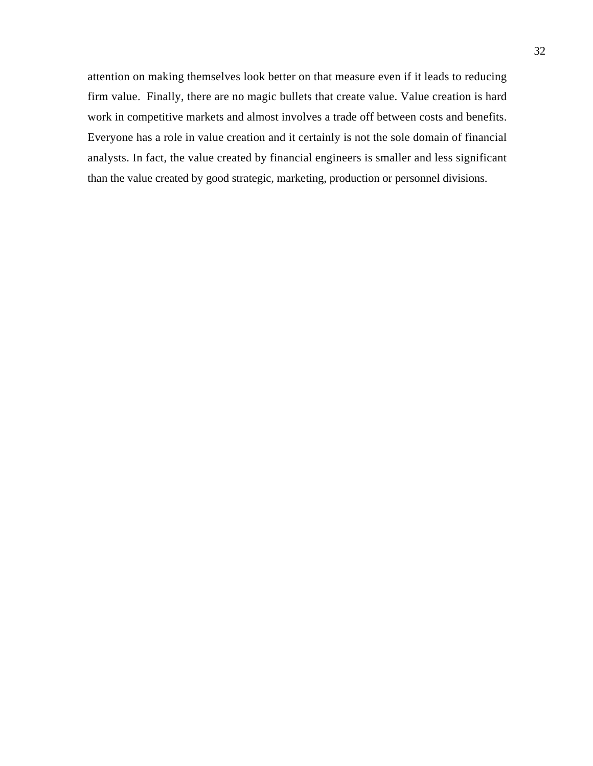attention on making themselves look better on that measure even if it leads to reducing firm value. Finally, there are no magic bullets that create value. Value creation is hard work in competitive markets and almost involves a trade off between costs and benefits. Everyone has a role in value creation and it certainly is not the sole domain of financial analysts. In fact, the value created by financial engineers is smaller and less significant than the value created by good strategic, marketing, production or personnel divisions.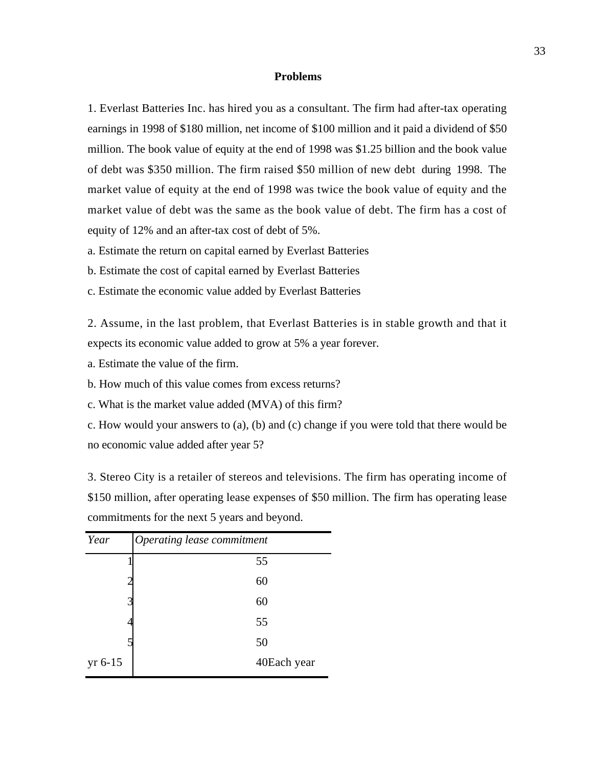#### **Problems**

1. Everlast Batteries Inc. has hired you as a consultant. The firm had after-tax operating earnings in 1998 of \$180 million, net income of \$100 million and it paid a dividend of \$50 million. The book value of equity at the end of 1998 was \$1.25 billion and the book value of debt was \$350 million. The firm raised \$50 million of new debt during 1998. The market value of equity at the end of 1998 was twice the book value of equity and the market value of debt was the same as the book value of debt. The firm has a cost of equity of 12% and an after-tax cost of debt of 5%.

a. Estimate the return on capital earned by Everlast Batteries

b. Estimate the cost of capital earned by Everlast Batteries

c. Estimate the economic value added by Everlast Batteries

2. Assume, in the last problem, that Everlast Batteries is in stable growth and that it expects its economic value added to grow at 5% a year forever.

a. Estimate the value of the firm.

b. How much of this value comes from excess returns?

c. What is the market value added (MVA) of this firm?

c. How would your answers to (a), (b) and (c) change if you were told that there would be no economic value added after year 5?

3. Stereo City is a retailer of stereos and televisions. The firm has operating income of \$150 million, after operating lease expenses of \$50 million. The firm has operating lease commitments for the next 5 years and beyond.

| Year    | Operating lease commitment |
|---------|----------------------------|
|         | 55                         |
|         | 60                         |
|         | 60                         |
|         | 55                         |
|         | 50                         |
| yr 6-15 | 40Each year                |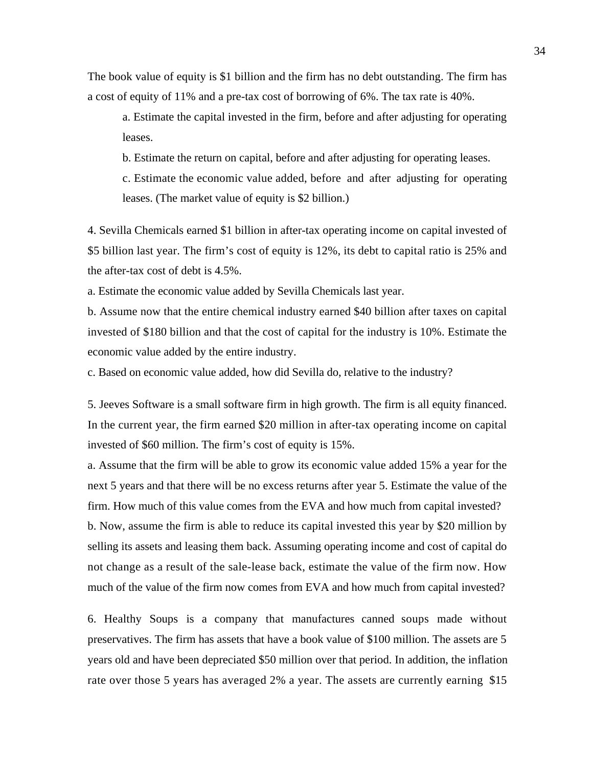The book value of equity is \$1 billion and the firm has no debt outstanding. The firm has a cost of equity of 11% and a pre-tax cost of borrowing of 6%. The tax rate is 40%.

a. Estimate the capital invested in the firm, before and after adjusting for operating leases.

b. Estimate the return on capital, before and after adjusting for operating leases.

c. Estimate the economic value added, before and after adjusting for operating leases. (The market value of equity is \$2 billion.)

4. Sevilla Chemicals earned \$1 billion in after-tax operating income on capital invested of \$5 billion last year. The firm's cost of equity is 12%, its debt to capital ratio is 25% and the after-tax cost of debt is 4.5%.

a. Estimate the economic value added by Sevilla Chemicals last year.

b. Assume now that the entire chemical industry earned \$40 billion after taxes on capital invested of \$180 billion and that the cost of capital for the industry is 10%. Estimate the economic value added by the entire industry.

c. Based on economic value added, how did Sevilla do, relative to the industry?

5. Jeeves Software is a small software firm in high growth. The firm is all equity financed. In the current year, the firm earned \$20 million in after-tax operating income on capital invested of \$60 million. The firm's cost of equity is 15%.

a. Assume that the firm will be able to grow its economic value added 15% a year for the next 5 years and that there will be no excess returns after year 5. Estimate the value of the firm. How much of this value comes from the EVA and how much from capital invested? b. Now, assume the firm is able to reduce its capital invested this year by \$20 million by selling its assets and leasing them back. Assuming operating income and cost of capital do not change as a result of the sale-lease back, estimate the value of the firm now. How much of the value of the firm now comes from EVA and how much from capital invested?

6. Healthy Soups is a company that manufactures canned soups made without preservatives. The firm has assets that have a book value of \$100 million. The assets are 5 years old and have been depreciated \$50 million over that period. In addition, the inflation rate over those 5 years has averaged 2% a year. The assets are currently earning \$15